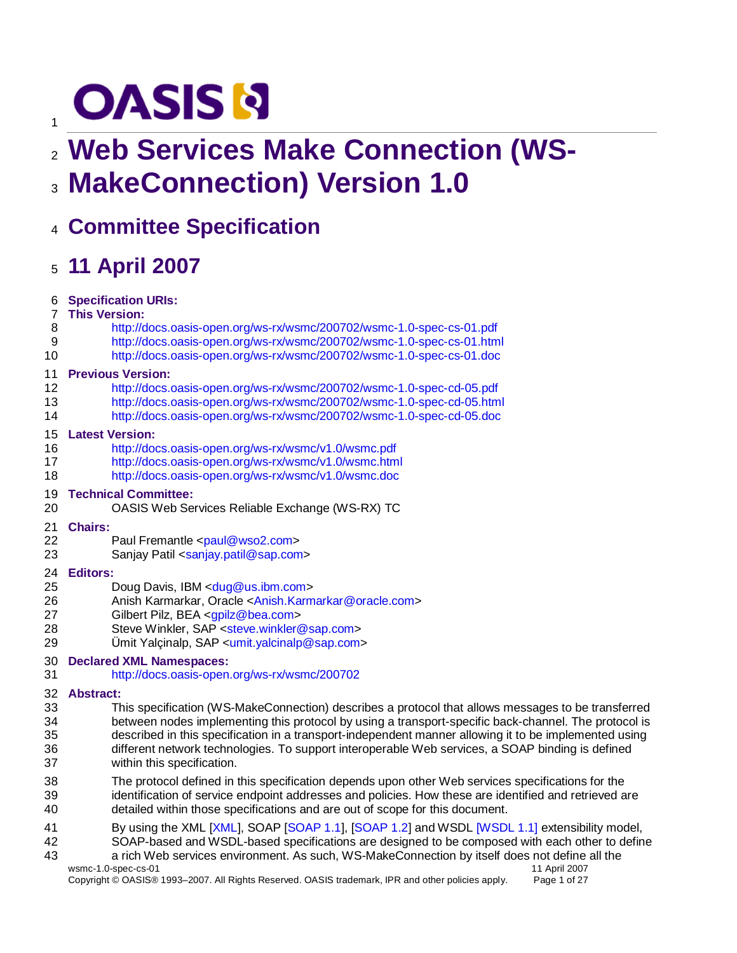# **OASIS N**

# **Web Services Make Connection (WS-MakeConnection) Version 1.0**

# **Committee Specification**

# **11 April 2007**

| 6              | <b>Specification URIs:</b>                                                                            |
|----------------|-------------------------------------------------------------------------------------------------------|
| $\overline{7}$ | <b>This Version:</b>                                                                                  |
| 8              | http://docs.oasis-open.org/ws-rx/wsmc/200702/wsmc-1.0-spec-cs-01.pdf                                  |
| 9              | http://docs.oasis-open.org/ws-rx/wsmc/200702/wsmc-1.0-spec-cs-01.html                                 |
| 10             | http://docs.oasis-open.org/ws-rx/wsmc/200702/wsmc-1.0-spec-cs-01.doc                                  |
| 11             | <b>Previous Version:</b>                                                                              |
| 12             | http://docs.oasis-open.org/ws-rx/wsmc/200702/wsmc-1.0-spec-cd-05.pdf                                  |
| 13             | http://docs.oasis-open.org/ws-rx/wsmc/200702/wsmc-1.0-spec-cd-05.html                                 |
| 14             | http://docs.oasis-open.org/ws-rx/wsmc/200702/wsmc-1.0-spec-cd-05.doc                                  |
| 15             | <b>Latest Version:</b>                                                                                |
| 16             | http://docs.oasis-open.org/ws-rx/wsmc/v1.0/wsmc.pdf                                                   |
| 17             | http://docs.oasis-open.org/ws-rx/wsmc/v1.0/wsmc.html                                                  |
| 18             | http://docs.oasis-open.org/ws-rx/wsmc/v1.0/wsmc.doc                                                   |
| 19             | <b>Technical Committee:</b>                                                                           |
| 20             | OASIS Web Services Reliable Exchange (WS-RX) TC                                                       |
| 21             | <b>Chairs:</b>                                                                                        |
| 22             | Paul Fremantle <paul@wso2.com></paul@wso2.com>                                                        |
| 23             | Sanjay Patil <sanjay.patil@sap.com></sanjay.patil@sap.com>                                            |
| 24             | <b>Editors:</b>                                                                                       |
| 25             | Doug Davis, IBM <dug@us.ibm.com></dug@us.ibm.com>                                                     |
| 26             | Anish Karmarkar, Oracle <anish.karmarkar@oracle.com></anish.karmarkar@oracle.com>                     |
| 27             | Gilbert Pilz, BEA <gpilz@bea.com></gpilz@bea.com>                                                     |
| 28             | Steve Winkler, SAP <steve.winkler@sap.com></steve.winkler@sap.com>                                    |
| 29             | Umit Yalçinalp, $SAP \leq \text{unit}$ , yalcinalp@sap.com>                                           |
| 30             | <b>Declared XML Namespaces:</b>                                                                       |
| 31             | http://docs.oasis-open.org/ws-rx/wsmc/200702                                                          |
| 32             | <b>Abstract:</b>                                                                                      |
| 33             | This specification (WS-MakeConnection) describes a protocol that allows messages to be transferred    |
| 34             | between nodes implementing this protocol by using a transport-specific back-channel. The protocol is  |
| 35             | described in this specification in a transport-independent manner allowing it to be implemented using |
| 36             | different network technologies. To support interoperable Web services, a SOAP binding is defined      |
| 37             | within this specification.                                                                            |
| 38             | The protocol defined in this specification depends upon other Web services specifications for the     |
| 39             | identification of service endpoint addresses and policies. How these are identified and retrieved are |
| 40             | detailed within those specifications and are out of scope for this document.                          |
| 41             | By using the XML [XML], SOAP [SOAP 1.1], [SOAP 1.2] and WSDL [WSDL 1.1] extensibility model,          |
| $\sqrt{2}$     | COAD honed and WCDL honed anoglications are designed to be composed with coah other to define         |

- SOAP-based and WSDL-based specifications are designed to be composed with each other to define a rich Web services environment. As such, WS-MakeConnection by itself does not define all the
	- wsmc-1.0-spec-cs-01 1<br>Copyright © OASIS® 1993–2007. All Rights Reserved. OASIS trademark, IPR and other policies apply. Page 1 of 27 Copyright © OASIS® 1993-2007. All Rights Reserved. OASIS trademark, IPR and other policies apply.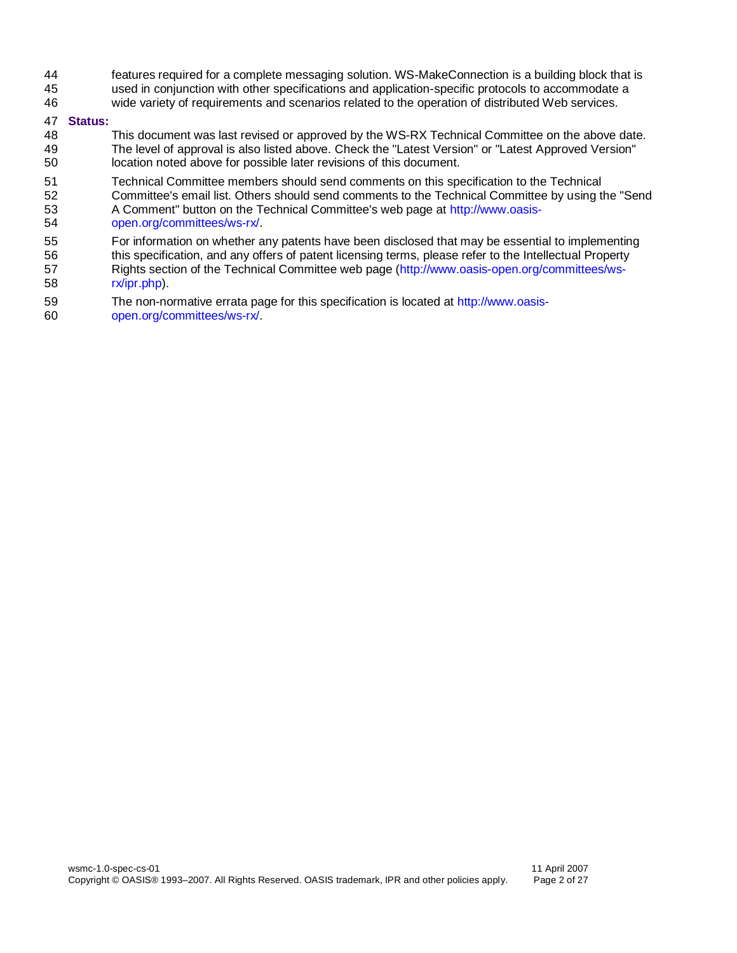- features required for a complete messaging solution. WS-MakeConnection is a building block that is
- used in conjunction with other specifications and application-specific protocols to accommodate a
- wide variety of requirements and scenarios related to the operation of distributed Web services.

#### **Status:**

- This document was last revised or approved by the WS-RX Technical Committee on the above date. The level of approval is also listed above. Check the "Latest Version" or "Latest Approved Version" location noted above for possible later revisions of this document.
- Technical Committee members should send comments on this specification to the Technical
- Committee's email list. Others should send comments to the Technical Committee by using the "Send A Comment" button on the Technical Committee's web page at [http://www.oasis-](http://www.oasis-open.org/committees/ws-rx/)
- [open.org/committees/ws-rx/.](http://www.oasis-open.org/committees/ws-rx/)
- For information on whether any patents have been disclosed that may be essential to implementing
- this specification, and any offers of patent licensing terms, please refer to the Intellectual Property
- Rights section of the Technical Committee web page [\(http://www.oasis-open.org/committees/ws-](http://www.oasis-open.org/committees/ws-rx/ipr.php)[rx/ipr.php\)](http://www.oasis-open.org/committees/ws-rx/ipr.php).
- The non-normative errata page for this specification is located at [http://www.oasis-](http://www.oasis-open.org/committees/ws-rx/)
- [open.org/committees/ws-rx/.](http://www.oasis-open.org/committees/ws-rx/)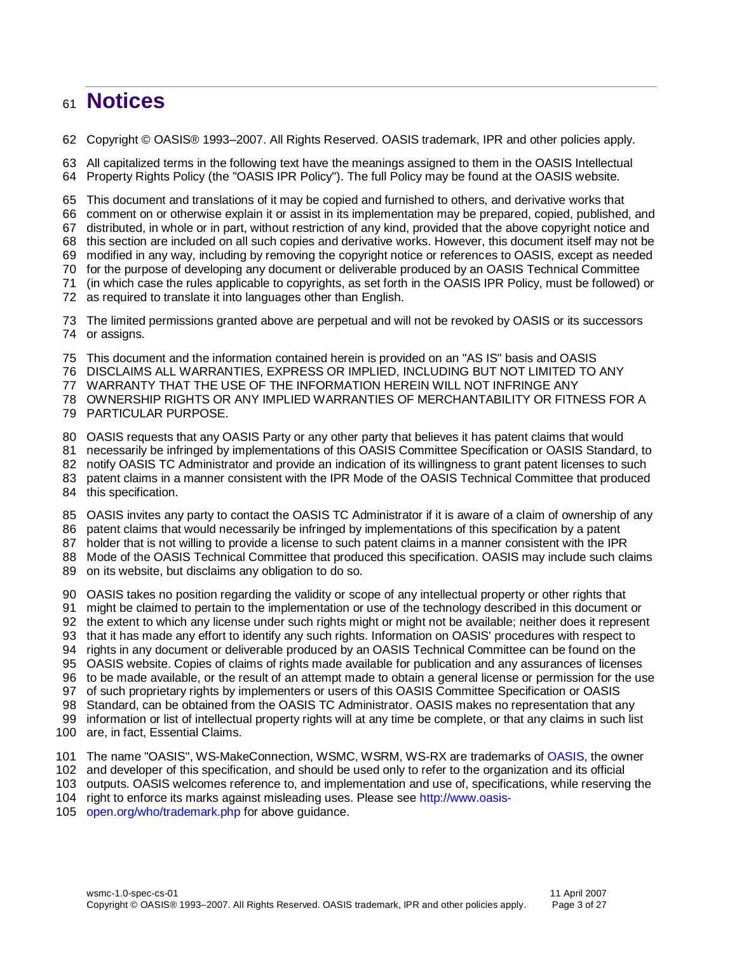## **Notices**

Copyright © OASIS® 1993–2007. All Rights Reserved. OASIS trademark, IPR and other policies apply.

 All capitalized terms in the following text have the meanings assigned to them in the OASIS Intellectual Property Rights Policy (the "OASIS IPR Policy"). The full Policy may be found at the OASIS website.

This document and translations of it may be copied and furnished to others, and derivative works that

comment on or otherwise explain it or assist in its implementation may be prepared, copied, published, and

distributed, in whole or in part, without restriction of any kind, provided that the above copyright notice and

this section are included on all such copies and derivative works. However, this document itself may not be

modified in any way, including by removing the copyright notice or references to OASIS, except as needed

for the purpose of developing any document or deliverable produced by an OASIS Technical Committee

(in which case the rules applicable to copyrights, as set forth in the OASIS IPR Policy, must be followed) or

as required to translate it into languages other than English.

 The limited permissions granted above are perpetual and will not be revoked by OASIS or its successors or assigns.

This document and the information contained herein is provided on an "AS IS" basis and OASIS

DISCLAIMS ALL WARRANTIES, EXPRESS OR IMPLIED, INCLUDING BUT NOT LIMITED TO ANY

WARRANTY THAT THE USE OF THE INFORMATION HEREIN WILL NOT INFRINGE ANY

OWNERSHIP RIGHTS OR ANY IMPLIED WARRANTIES OF MERCHANTABILITY OR FITNESS FOR A

PARTICULAR PURPOSE.

OASIS requests that any OASIS Party or any other party that believes it has patent claims that would

necessarily be infringed by implementations of this OASIS Committee Specification or OASIS Standard, to

- notify OASIS TC Administrator and provide an indication of its willingness to grant patent licenses to such
- patent claims in a manner consistent with the IPR Mode of the OASIS Technical Committee that produced

this specification.

OASIS invites any party to contact the OASIS TC Administrator if it is aware of a claim of ownership of any

patent claims that would necessarily be infringed by implementations of this specification by a patent

holder that is not willing to provide a license to such patent claims in a manner consistent with the IPR

Mode of the OASIS Technical Committee that produced this specification. OASIS may include such claims

on its website, but disclaims any obligation to do so.

OASIS takes no position regarding the validity or scope of any intellectual property or other rights that

might be claimed to pertain to the implementation or use of the technology described in this document or

- the extent to which any license under such rights might or might not be available; neither does it represent
- that it has made any effort to identify any such rights. Information on OASIS' procedures with respect to

rights in any document or deliverable produced by an OASIS Technical Committee can be found on the

OASIS website. Copies of claims of rights made available for publication and any assurances of licenses

to be made available, or the result of an attempt made to obtain a general license or permission for the use

of such proprietary rights by implementers or users of this OASIS Committee Specification or OASIS

 Standard, can be obtained from the OASIS TC Administrator. OASIS makes no representation that any information or list of intellectual property rights will at any time be complete, or that any claims in such list

are, in fact, Essential Claims.

The name "OASIS", WS-MakeConnection, WSMC, WSRM, WS-RX are trademarks o[f OASIS,](http://www.oasis-open.org/) the owner

and developer of this specification, and should be used only to refer to the organization and its official

outputs. OASIS welcomes reference to, and implementation and use of, specifications, while reserving the

right to enforce its marks against misleading uses. Please see [http://www.oasis-](http://www.oasis-open.org/who/trademark.php)

[open.org/who/trademark.php](http://www.oasis-open.org/who/trademark.php) for above guidance.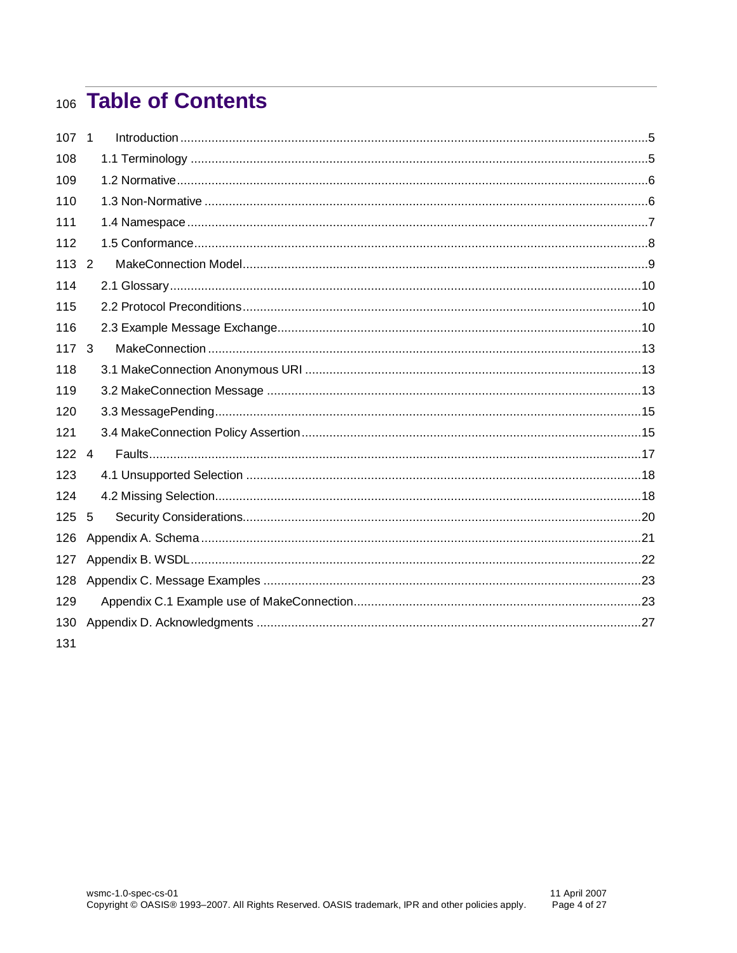# 106 Table of Contents

| 107 1         |   |  |
|---------------|---|--|
| 108           |   |  |
| 109           |   |  |
| 110           |   |  |
| 111           |   |  |
| 112           |   |  |
| $113 \quad 2$ |   |  |
| 114           |   |  |
| 115           |   |  |
| 116           |   |  |
| 117           | 3 |  |
| 118           |   |  |
| 119           |   |  |
| 120           |   |  |
| 121           |   |  |
| $122 \quad 4$ |   |  |
| 123           |   |  |
| 124           |   |  |
| 125           | 5 |  |
| 126           |   |  |
| 127           |   |  |
| 128           |   |  |
| 129           |   |  |
| 130           |   |  |
| 131           |   |  |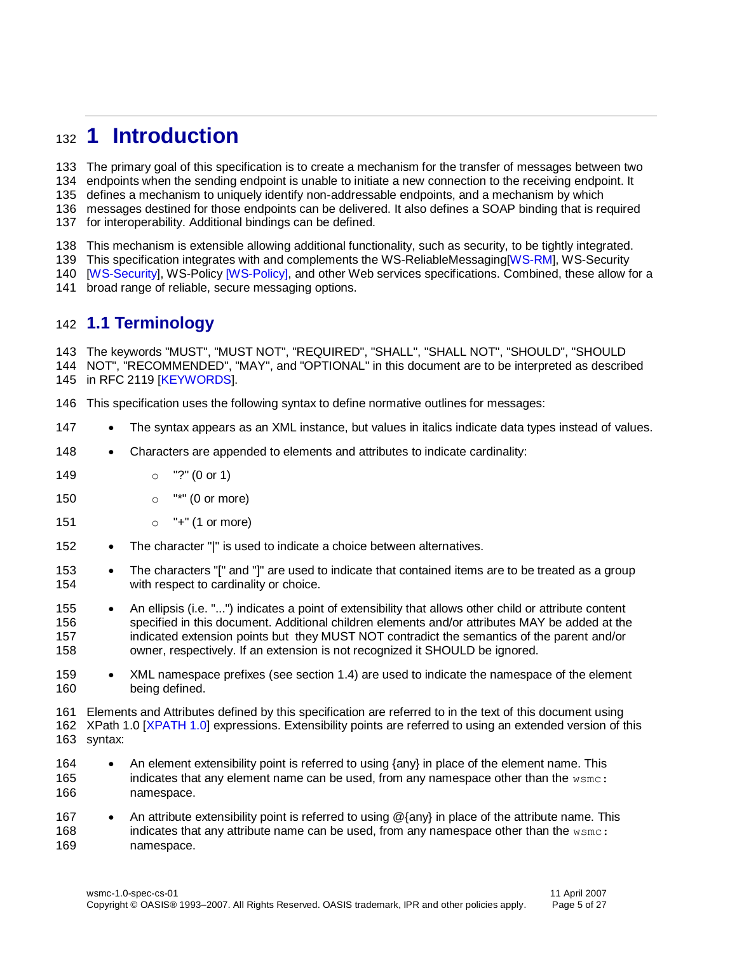## <span id="page-4-0"></span>**1 Introduction**

 The primary goal of this specification is to create a mechanism for the transfer of messages between two endpoints when the sending endpoint is unable to initiate a new connection to the receiving endpoint. It

defines a mechanism to uniquely identify non-addressable endpoints, and a mechanism by which

messages destined for those endpoints can be delivered. It also defines a SOAP binding that is required

for interoperability. Additional bindings can be defined.

This mechanism is extensible allowing additional functionality, such as security, to be tightly integrated.

This specification integrates with and complements the WS-ReliableMessaging[\[WS-RM\]](#page-5-6), WS-Security

 [\[WS-Security\]](#page-6-1), WS-Polic[y \[WS-Policy\],](#page-6-2) and other Web services specifications. Combined, these allow for a broad range of reliable, secure messaging options.

#### <span id="page-4-1"></span>**1.1 Terminology**

 The keywords "MUST", "MUST NOT", "REQUIRED", "SHALL", "SHALL NOT", "SHOULD", "SHOULD NOT", "RECOMMENDED", "MAY", and "OPTIONAL" in this document are to be interpreted as described in RFC 2119 [\[KEYWORDS\]](#page-5-7).

This specification uses the following syntax to define normative outlines for messages:

- 147 The syntax appears as an XML instance, but values in italics indicate data types instead of values.
- 148 Characters are appended to elements and attributes to indicate cardinality:
- o "?" (0 or 1)
- **o** "\*" (0 or more)
- o "+" (1 or more)
- 152 The character "|" is used to indicate a choice between alternatives.
- 153 The characters "[" and "]" are used to indicate that contained items are to be treated as a group with respect to cardinality or choice.
- 155 An ellipsis (i.e. "...") indicates a point of extensibility that allows other child or attribute content specified in this document. Additional children elements and/or attributes MAY be added at the indicated extension points but they MUST NOT contradict the semantics of the parent and/or owner, respectively. If an extension is not recognized it SHOULD be ignored.
- XML namespace prefixes (see section [1.4\)](#page-6-0) are used to indicate the namespace of the element being defined.

Elements and Attributes defined by this specification are referred to in the text of this document using

 XPath 1.0 [XPATH 1.0] expressions. Extensibility points are referred to using an extended version of this syntax:

- 164 An element extensibility point is referred to using {any} in place of the element name. This indicates that any element name can be used, from any namespace other than the wsmc: namespace.
- 167 An attribute extensibility point is referred to using @{any} in place of the attribute name. This 168 indicates that any attribute name can be used, from any namespace other than the wsmc: namespace.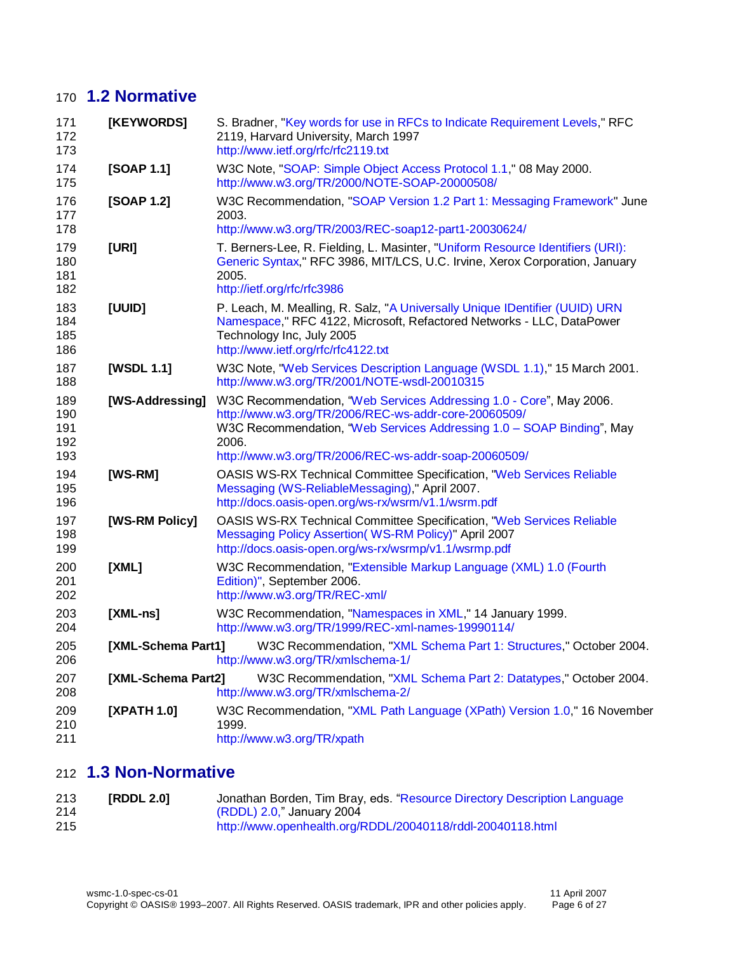### **1.2 Normative**

<span id="page-5-13"></span><span id="page-5-12"></span><span id="page-5-7"></span><span id="page-5-4"></span><span id="page-5-3"></span><span id="page-5-2"></span><span id="page-5-1"></span>

| 171<br>172<br>173               | [KEYWORDS]         | S. Bradner, "Key words for use in RFCs to Indicate Requirement Levels," RFC<br>2119, Harvard University, March 1997<br>http://www.ietf.org/rfc/rfc2119.txt                                                                                                            |  |  |
|---------------------------------|--------------------|-----------------------------------------------------------------------------------------------------------------------------------------------------------------------------------------------------------------------------------------------------------------------|--|--|
| 174<br>175                      | [SOAP 1.1]         | W3C Note, "SOAP: Simple Object Access Protocol 1.1," 08 May 2000.<br>http://www.w3.org/TR/2000/NOTE-SOAP-20000508/                                                                                                                                                    |  |  |
| 176<br>177<br>178               | [SOAP 1.2]         | W3C Recommendation, "SOAP Version 1.2 Part 1: Messaging Framework" June<br>2003.<br>http://www.w3.org/TR/2003/REC-soap12-part1-20030624/                                                                                                                              |  |  |
| 179<br>180<br>181<br>182        | [URI]              | T. Berners-Lee, R. Fielding, L. Masinter, "Uniform Resource Identifiers (URI):<br>Generic Syntax," RFC 3986, MIT/LCS, U.C. Irvine, Xerox Corporation, January<br>2005.<br>http://ietf.org/rfc/rfc3986                                                                 |  |  |
| 183<br>184<br>185<br>186        | [UUID]             | P. Leach, M. Mealling, R. Salz, "A Universally Unique IDentifier (UUID) URN<br>Namespace," RFC 4122, Microsoft, Refactored Networks - LLC, DataPower<br>Technology Inc, July 2005<br>http://www.ietf.org/rfc/rfc4122.txt                                              |  |  |
| 187<br>188                      | [WSDL 1.1]         | W3C Note, "Web Services Description Language (WSDL 1.1)," 15 March 2001.<br>http://www.w3.org/TR/2001/NOTE-wsdl-20010315                                                                                                                                              |  |  |
| 189<br>190<br>191<br>192<br>193 | [WS-Addressing]    | W3C Recommendation, "Web Services Addressing 1.0 - Core", May 2006.<br>http://www.w3.org/TR/2006/REC-ws-addr-core-20060509/<br>W3C Recommendation, "Web Services Addressing 1.0 - SOAP Binding", May<br>2006.<br>http://www.w3.org/TR/2006/REC-ws-addr-soap-20060509/ |  |  |
| 194<br>195<br>196               | [WS-RM]            | <b>OASIS WS-RX Technical Committee Specification, "Web Services Reliable</b><br>Messaging (WS-ReliableMessaging)," April 2007.<br>http://docs.oasis-open.org/ws-rx/wsrm/v1.1/wsrm.pdf                                                                                 |  |  |
| 197<br>198<br>199               | [WS-RM Policy]     | <b>OASIS WS-RX Technical Committee Specification, "Web Services Reliable</b><br>Messaging Policy Assertion(WS-RM Policy)" April 2007<br>http://docs.oasis-open.org/ws-rx/wsrmp/v1.1/wsrmp.pdf                                                                         |  |  |
| 200<br>201<br>202               | [XML]              | W3C Recommendation, "Extensible Markup Language (XML) 1.0 (Fourth<br>Edition)", September 2006.<br>http://www.w3.org/TR/REC-xml/                                                                                                                                      |  |  |
| 203<br>204                      | $[XML-ns]$         | W3C Recommendation, "Namespaces in XML," 14 January 1999.<br>http://www.w3.org/TR/1999/REC-xml-names-19990114/                                                                                                                                                        |  |  |
| 205<br>206                      | [XML-Schema Part1] | W3C Recommendation, "XML Schema Part 1: Structures," October 2004.<br>http://www.w3.org/TR/xmlschema-1/                                                                                                                                                               |  |  |
| 207<br>208                      | [XML-Schema Part2] | W3C Recommendation, "XML Schema Part 2: Datatypes," October 2004.<br>http://www.w3.org/TR/xmlschema-2/                                                                                                                                                                |  |  |
| 209<br>210<br>211               | [XPATH 1.0]        | W3C Recommendation, "XML Path Language (XPath) Version 1.0," 16 November<br>1999.<br>http://www.w3.org/TR/xpath                                                                                                                                                       |  |  |

## <span id="page-5-14"></span><span id="page-5-11"></span><span id="page-5-10"></span><span id="page-5-8"></span><span id="page-5-6"></span><span id="page-5-5"></span><span id="page-5-0"></span>**1.3 Non-Normative**

<span id="page-5-9"></span>

| 213 | [RDDL 2.0] | Jonathan Borden, Tim Bray, eds. "Resource Directory Description Language |
|-----|------------|--------------------------------------------------------------------------|
| 214 |            | (RDDL) 2.0," January 2004                                                |
| 215 |            | http://www.openhealth.org/RDDL/20040118/rddl-20040118.html               |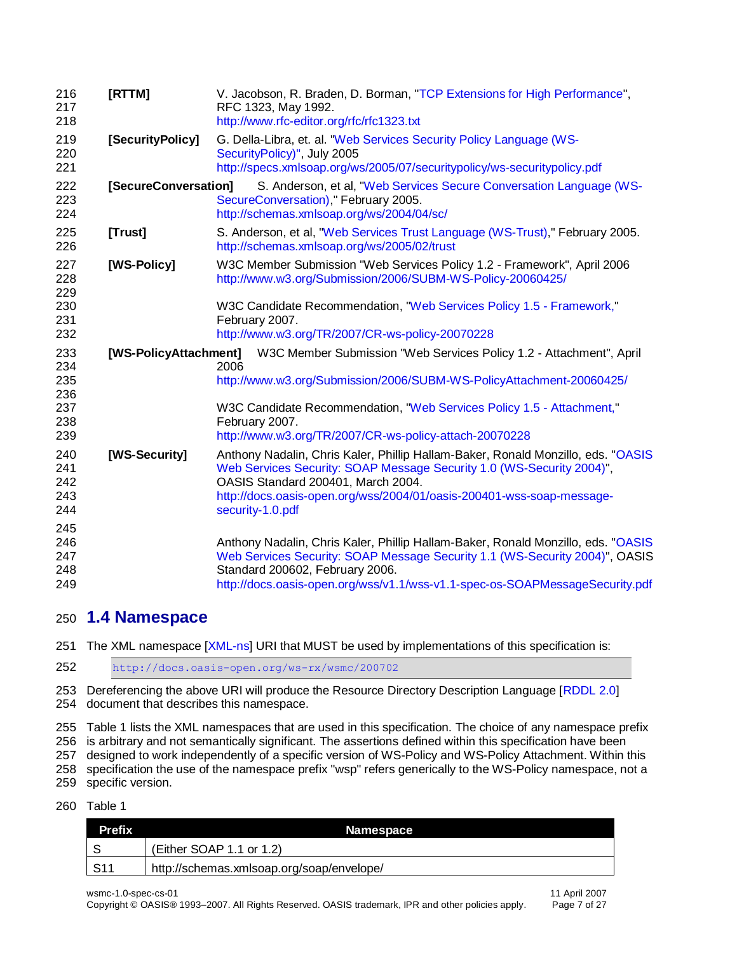<span id="page-6-7"></span><span id="page-6-6"></span><span id="page-6-5"></span><span id="page-6-4"></span><span id="page-6-3"></span><span id="page-6-2"></span>

| 216<br>217<br>218               | [RTTM]                | V. Jacobson, R. Braden, D. Borman, "TCP Extensions for High Performance",<br>RFC 1323, May 1992.<br>http://www.rfc-editor.org/rfc/rfc1323.txt                                                                                                                                                |  |  |  |
|---------------------------------|-----------------------|----------------------------------------------------------------------------------------------------------------------------------------------------------------------------------------------------------------------------------------------------------------------------------------------|--|--|--|
| 219<br>220<br>221               | [SecurityPolicy]      | G. Della-Libra, et. al. "Web Services Security Policy Language (WS-<br>SecurityPolicy)", July 2005<br>http://specs.xmlsoap.org/ws/2005/07/securitypolicy/ws-securitypolicy.pdf                                                                                                               |  |  |  |
| 222<br>223<br>224               | [SecureConversation]  | S. Anderson, et al, "Web Services Secure Conversation Language (WS-<br>SecureConversation)," February 2005.<br>http://schemas.xmlsoap.org/ws/2004/04/sc/                                                                                                                                     |  |  |  |
| 225<br>226                      | [Trust]               | S. Anderson, et al, "Web Services Trust Language (WS-Trust)," February 2005.<br>http://schemas.xmlsoap.org/ws/2005/02/trust                                                                                                                                                                  |  |  |  |
| 227<br>228<br>229               | [WS-Policy]           | W3C Member Submission "Web Services Policy 1.2 - Framework", April 2006<br>http://www.w3.org/Submission/2006/SUBM-WS-Policy-20060425/                                                                                                                                                        |  |  |  |
| 230<br>231<br>232               |                       | W3C Candidate Recommendation, "Web Services Policy 1.5 - Framework,"<br>February 2007.<br>http://www.w3.org/TR/2007/CR-ws-policy-20070228                                                                                                                                                    |  |  |  |
| 233<br>234<br>235<br>236        | [WS-PolicyAttachment] | W3C Member Submission "Web Services Policy 1.2 - Attachment", April<br>2006<br>http://www.w3.org/Submission/2006/SUBM-WS-PolicyAttachment-20060425/                                                                                                                                          |  |  |  |
| 237<br>238<br>239               |                       | W3C Candidate Recommendation, "Web Services Policy 1.5 - Attachment,"<br>February 2007.<br>http://www.w3.org/TR/2007/CR-ws-policy-attach-20070228                                                                                                                                            |  |  |  |
| 240<br>241<br>242<br>243<br>244 | [WS-Security]         | Anthony Nadalin, Chris Kaler, Phillip Hallam-Baker, Ronald Monzillo, eds. "OASIS<br>Web Services Security: SOAP Message Security 1.0 (WS-Security 2004)",<br>OASIS Standard 200401, March 2004.<br>http://docs.oasis-open.org/wss/2004/01/oasis-200401-wss-soap-message-<br>security-1.0.pdf |  |  |  |
| 245<br>246<br>247<br>248<br>249 |                       | Anthony Nadalin, Chris Kaler, Phillip Hallam-Baker, Ronald Monzillo, eds. "OASIS<br>Web Services Security: SOAP Message Security 1.1 (WS-Security 2004)", OASIS<br>Standard 200602, February 2006.<br>http://docs.oasis-open.org/wss/v1.1/wss-v1.1-spec-os-SOAPMessageSecurity.pdf           |  |  |  |

#### <span id="page-6-1"></span><span id="page-6-0"></span>**1.4 Namespace**

The XML namespace [\[XML-ns\]](#page-5-8) URI that MUST be used by implementations of this specification is:

<http://docs.oasis-open.org/ws-rx/wsmc/200702>

253 Dereferencing the above URI will produce the Resource Directory Description Language [\[RDDL 2.0\]](#page-5-9)

document that describes this namespace.

Table 1 lists the XML namespaces that are used in this specification. The choice of any namespace prefix

is arbitrary and not semantically significant. The assertions defined within this specification have been

designed to work independently of a specific version of WS-Policy and WS-Policy Attachment. Within this

specification the use of the namespace prefix "wsp" refers generically to the WS-Policy namespace, not a

specific version.

#### Table 1

| <b>Prefix</b> | Namespace                                 |
|---------------|-------------------------------------------|
|               | (Either SOAP 1.1 or 1.2)                  |
| S11           | http://schemas.xmlsoap.org/soap/envelope/ |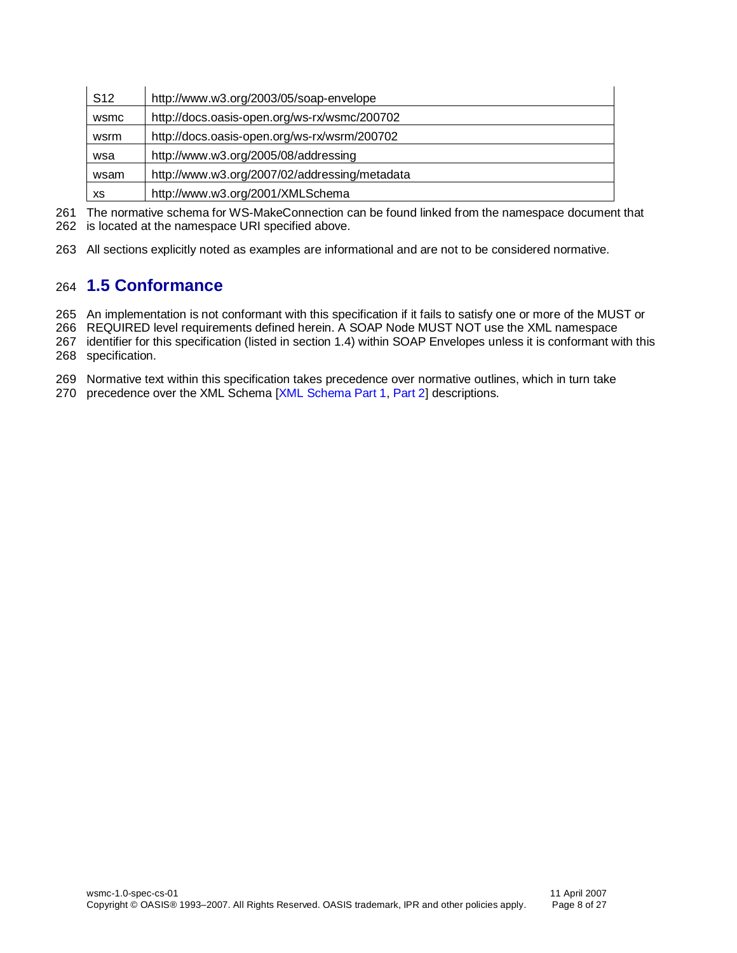| S <sub>12</sub> | http://www.w3.org/2003/05/soap-envelope       |
|-----------------|-----------------------------------------------|
| wsmc            | http://docs.oasis-open.org/ws-rx/wsmc/200702  |
| wsrm            | http://docs.oasis-open.org/ws-rx/wsrm/200702  |
| wsa             | http://www.w3.org/2005/08/addressing          |
| wsam            | http://www.w3.org/2007/02/addressing/metadata |
| XS              | http://www.w3.org/2001/XMLSchema              |

261 The normative schema for WS-MakeConnection can be found linked from the namespace document that

262 is located at the namespace URI specified above.

263 All sections explicitly noted as examples are informational and are not to be considered normative.

#### <span id="page-7-0"></span>264 **1.5 Conformance**

265 An implementation is not conformant with this specification if it fails to satisfy one or more of the MUST or

266 REQUIRED level requirements defined herein. A SOAP Node MUST NOT use the XML namespace

267 identifier for this specification (listed in section [1.4\)](#page-6-0) within SOAP Envelopes unless it is conformant with this 268 specification.

269 Normative text within this specification takes precedence over normative outlines, which in turn take

270 precedence over the XML Schema [\[XML Schema Part 1,](#page-5-10) [Part 2\]](#page-5-11) descriptions.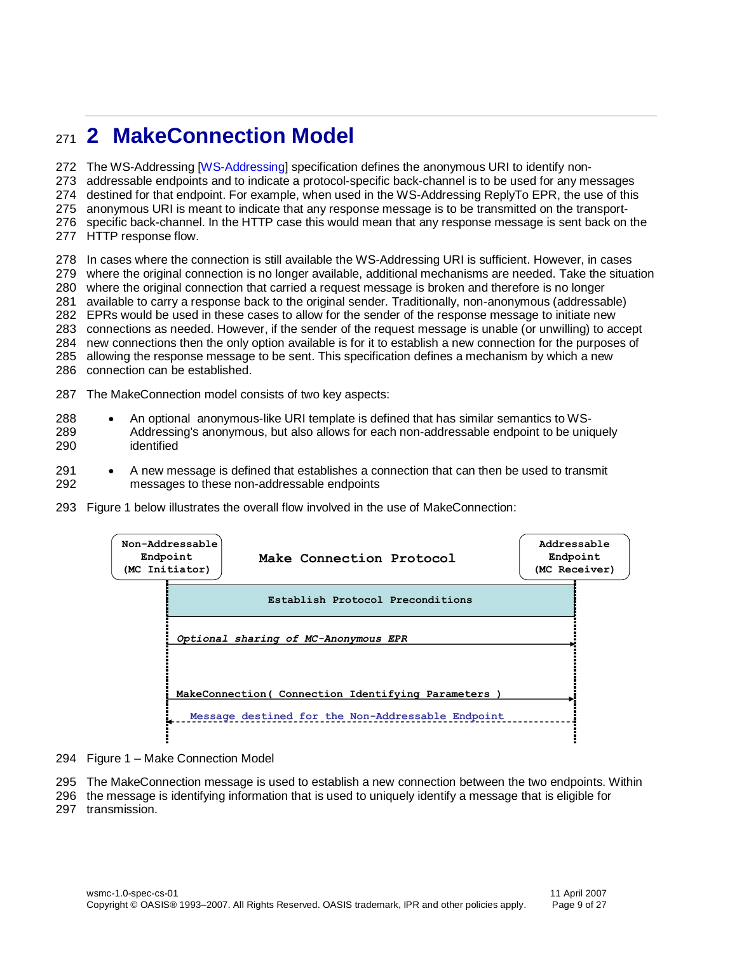## <span id="page-8-0"></span>**2 MakeConnection Model**

The WS-Addressing [\[WS-Addressing\]](#page-5-12) specification defines the anonymous URI to identify non-

addressable endpoints and to indicate a protocol-specific back-channel is to be used for any messages

destined for that endpoint. For example, when used in the WS-Addressing ReplyTo EPR, the use of this

anonymous URI is meant to indicate that any response message is to be transmitted on the transport-

specific back-channel. In the HTTP case this would mean that any response message is sent back on the

HTTP response flow.

 In cases where the connection is still available the WS-Addressing URI is sufficient. However, in cases where the original connection is no longer available, additional mechanisms are needed. Take the situation where the original connection that carried a request message is broken and therefore is no longer available to carry a response back to the original sender. Traditionally, non-anonymous (addressable) EPRs would be used in these cases to allow for the sender of the response message to initiate new connections as needed. However, if the sender of the request message is unable (or unwilling) to accept new connections then the only option available is for it to establish a new connection for the purposes of allowing the response message to be sent. This specification defines a mechanism by which a new connection can be established.

- The MakeConnection model consists of two key aspects:
- 288 An optional anonymous-like URI template is defined that has similar semantics to WS- Addressing's anonymous, but also allows for each non-addressable endpoint to be uniquely identified
- 291 A new message is defined that establishes a connection that can then be used to transmit messages to these non-addressable endpoints
- Figure 1 below illustrates the overall flow involved in the use of MakeConnection:

| Endpoint | Non-Addressable<br>Make Connection Protocol<br>(MC Initiator) | Addressable<br>Endpoint<br>(MC Receiver) |  |
|----------|---------------------------------------------------------------|------------------------------------------|--|
|          | Establish Protocol Preconditions                              |                                          |  |
|          | Optional sharing of MC-Anonymous EPR                          |                                          |  |
|          | MakeConnection (Connection Identifying Parameters             |                                          |  |
|          | Message destined for the Non-Addressable Endpoint             |                                          |  |

- Figure 1 Make Connection Model
- The MakeConnection message is used to establish a new connection between the two endpoints. Within
- the message is identifying information that is used to uniquely identify a message that is eligible for
- transmission.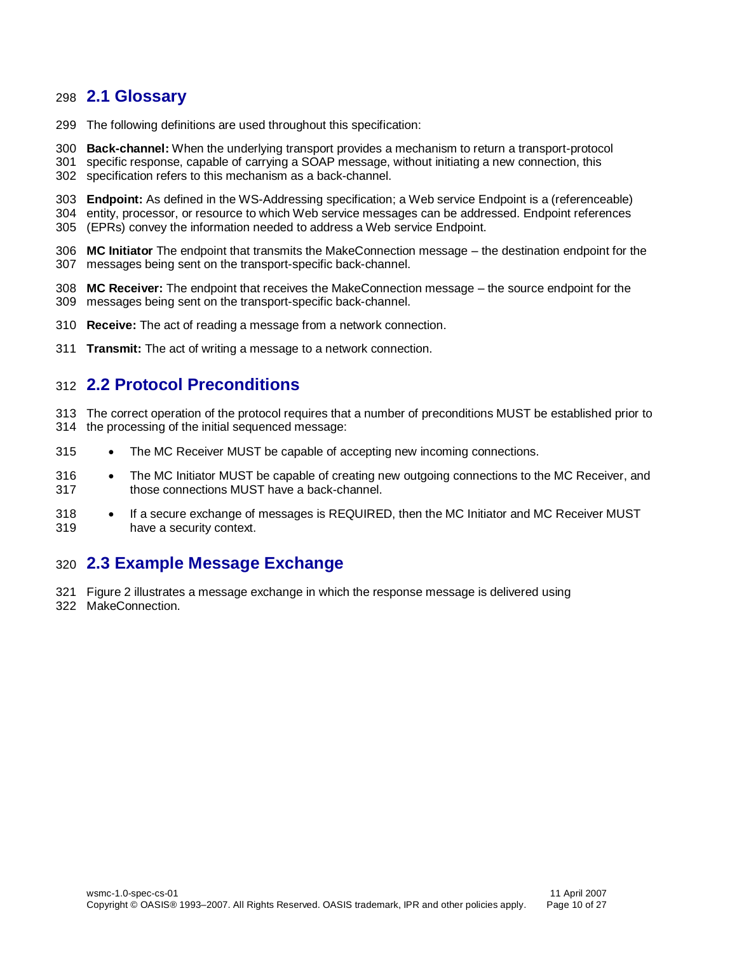#### <span id="page-9-0"></span>**2.1 Glossary**

- The following definitions are used throughout this specification:
- **Back-channel:** When the underlying transport provides a mechanism to return a transport-protocol
- specific response, capable of carrying a SOAP message, without initiating a new connection, this specification refers to this mechanism as a back-channel.
- **Endpoint:** As defined in the WS-Addressing specification; a Web service Endpoint is a (referenceable) entity, processor, or resource to which Web service messages can be addressed. Endpoint references
- (EPRs) convey the information needed to address a Web service Endpoint.
- **MC Initiator** The endpoint that transmits the MakeConnection message the destination endpoint for the messages being sent on the transport-specific back-channel.
- **MC Receiver:** The endpoint that receives the MakeConnection message the source endpoint for the messages being sent on the transport-specific back-channel.
- **Receive:** The act of reading a message from a network connection.
- **Transmit:** The act of writing a message to a network connection.

#### <span id="page-9-1"></span>**2.2 Protocol Preconditions**

- The correct operation of the protocol requires that a number of preconditions MUST be established prior to the processing of the initial sequenced message:
- 315 The MC Receiver MUST be capable of accepting new incoming connections.
- 316 The MC Initiator MUST be capable of creating new outgoing connections to the MC Receiver, and those connections MUST have a back-channel.
- 318 If a secure exchange of messages is REQUIRED, then the MC Initiator and MC Receiver MUST have a security context.

#### <span id="page-9-2"></span>**2.3 Example Message Exchange**

- Figure 2 illustrates a message exchange in which the response message is delivered using
- MakeConnection.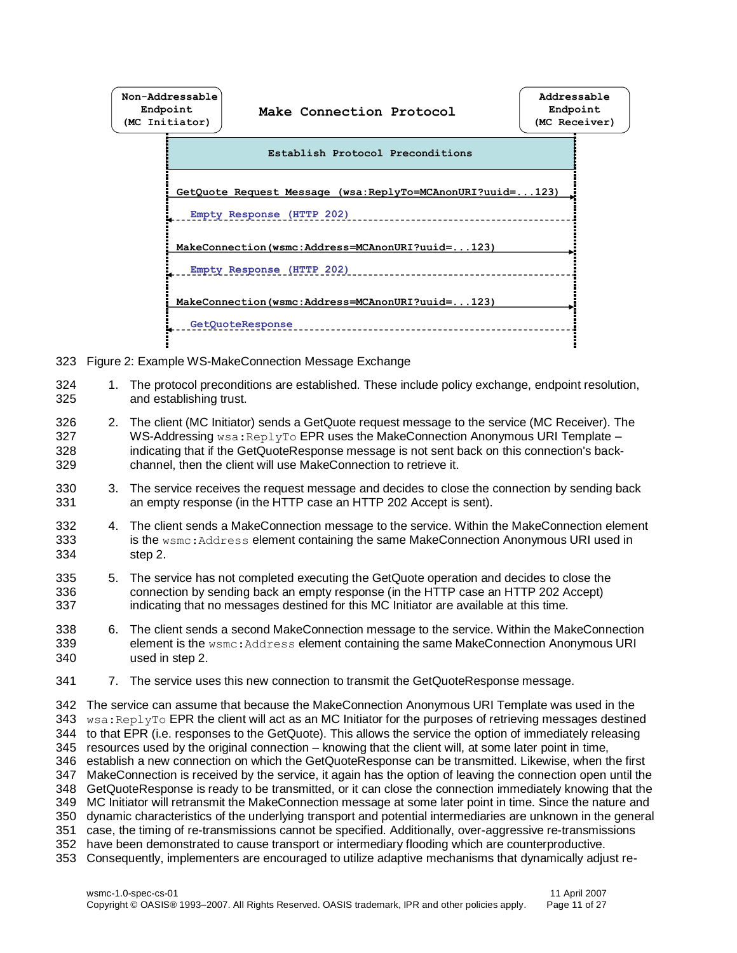

- 323 Figure 2: Example WS-MakeConnection Message Exchange
- 324 1. The protocol preconditions are established. These include policy exchange, endpoint resolution, 325 and establishing trust. and establishing trust.
- 326 2. The client (MC Initiator) sends a GetQuote request message to the service (MC Receiver). The 327 WS-Addressing wsa:ReplyTo EPR uses the MakeConnection Anonymous URI Template –<br>328 indicating that if the GetQuoteResponse message is not sent back on this connection's backindicating that if the GetQuoteResponse message is not sent back on this connection's back-329 channel, then the client will use MakeConnection to retrieve it.
- 330 3. The service receives the request message and decides to close the connection by sending back 331 an empty response (in the HTTP case an HTTP 202 Accept is sent).
- 332 4. The client sends a MakeConnection message to the service. Within the MakeConnection element 333 is the wsmc:Address element containing the same MakeConnection Anonymous URI used in 334 step 2.
- 335 5. The service has not completed executing the GetQuote operation and decides to close the 336 connection by sending back an empty response (in the HTTP case an HTTP 202 Accept) 337 indicating that no messages destined for this MC Initiator are available at this time.
- 338 6. The client sends a second MakeConnection message to the service. Within the MakeConnection 339 element is the wsmc: Address element containing the same MakeConnection Anonymous URI 340 used in step 2.
- 341 7. The service uses this new connection to transmit the GetQuoteResponse message.

 The service can assume that because the MakeConnection Anonymous URI Template was used in the  $wsa:Rep1yTo EPR$  the client will act as an MC Initiator for the purposes of retrieving messages destined to that EPR (i.e. responses to the GetQuote). This allows the service the option of immediately releasing resources used by the original connection – knowing that the client will, at some later point in time, establish a new connection on which the GetQuoteResponse can be transmitted. Likewise, when the first MakeConnection is received by the service, it again has the option of leaving the connection open until the GetQuoteResponse is ready to be transmitted, or it can close the connection immediately knowing that the MC Initiator will retransmit the MakeConnection message at some later point in time. Since the nature and dynamic characteristics of the underlying transport and potential intermediaries are unknown in the general case, the timing of re-transmissions cannot be specified. Additionally, over-aggressive re-transmissions have been demonstrated to cause transport or intermediary flooding which are counterproductive. Consequently, implementers are encouraged to utilize adaptive mechanisms that dynamically adjust re-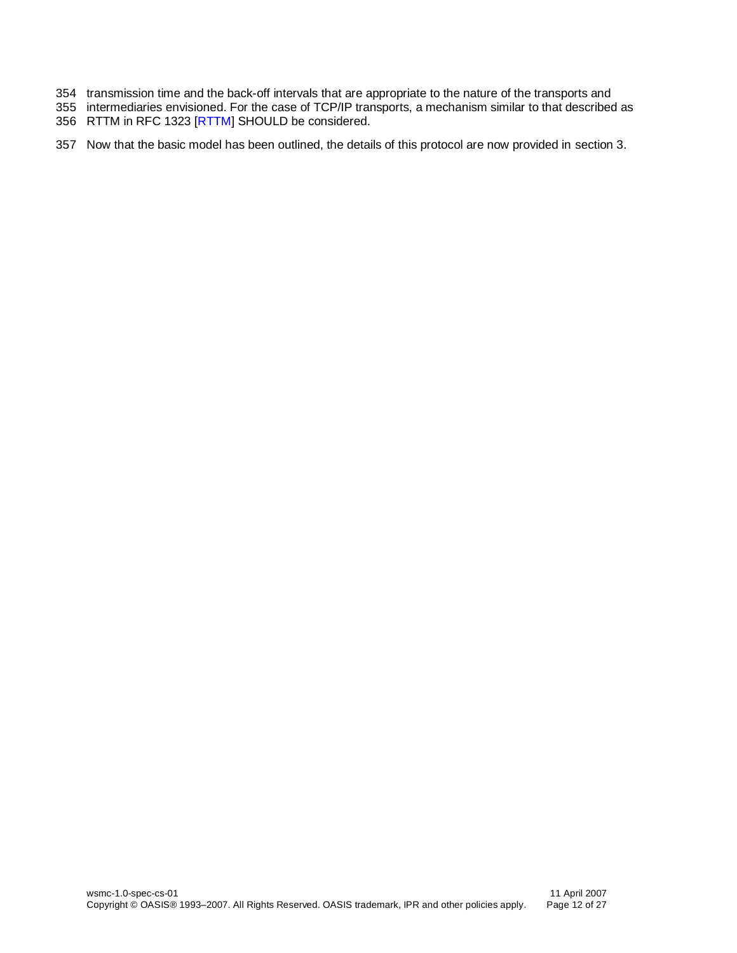- transmission time and the back-off intervals that are appropriate to the nature of the transports and
- intermediaries envisioned. For the case of TCP/IP transports, a mechanism similar to that described as RTTM in RFC 1323 [\[RTTM\]](#page-6-3) SHOULD be considered.
- Now that the basic model has been outlined, the details of this protocol are now provided in section [3.](#page-12-0)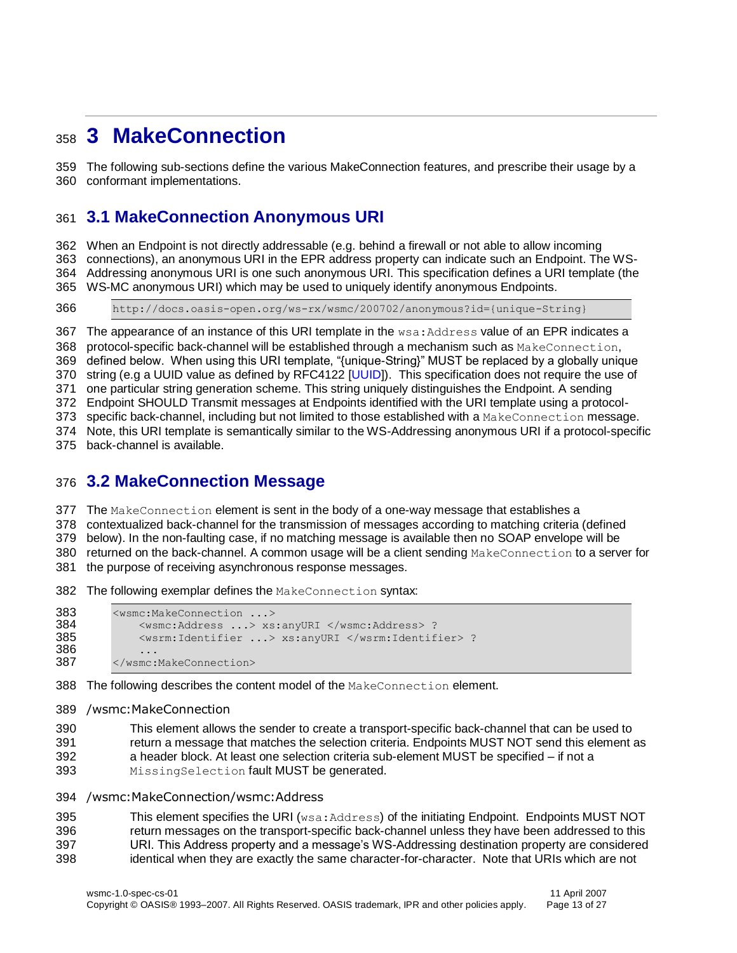## <span id="page-12-0"></span>**3 MakeConnection**

 The following sub-sections define the various MakeConnection features, and prescribe their usage by a conformant implementations.

#### <span id="page-12-1"></span>**3.1 MakeConnection Anonymous URI**

 When an Endpoint is not directly addressable (e.g. behind a firewall or not able to allow incoming connections), an anonymous URI in the EPR address property can indicate such an Endpoint. The WS- Addressing anonymous URI is one such anonymous URI. This specification defines a URI template (the WS-MC anonymous URI) which may be used to uniquely identify anonymous Endpoints.

http://docs.oasis-open.org/ws-rx/wsmc/200702/anonymous?id={unique-String}

367 The appearance of an instance of this URI template in the  $ws$ a: Address value of an EPR indicates a

368 protocol-specific back-channel will be established through a mechanism such as MakeConnection,

defined below. When using this URI template, "{unique-String}" MUST be replaced by a globally unique

string (e.g a UUID value as defined by RFC4122 [\[UUID\]](#page-5-13)). This specification does not require the use of

one particular string generation scheme. This string uniquely distinguishes the Endpoint. A sending

Endpoint SHOULD Transmit messages at Endpoints identified with the URI template using a protocol-

373 specific back-channel, including but not limited to those established with a MakeConnection message. Note, this URI template is semantically similar to the WS-Addressing anonymous URI if a protocol-specific

back-channel is available.

#### <span id="page-12-2"></span>**3.2 MakeConnection Message**

377 The MakeConnection element is sent in the body of a one-way message that establishes a

contextualized back-channel for the transmission of messages according to matching criteria (defined

below). In the non-faulting case, if no matching message is available then no SOAP envelope will be

380 returned on the back-channel. A common usage will be a client sending MakeConnection to a server for

the purpose of receiving asynchronous response messages.

382 The following exemplar defines the MakeConnection syntax:

```
383 <wsmc:MakeConnection ...> 
384 <wsmc:Address ...> xs:anyURI </wsmc:Address> ?
385 <wsrm:Identifier ...> xs:anyURI </wsrm:Identifier> ?
386 ...<br>387 \leq/wsmc:
        387 </wsmc:MakeConnection>
```
388 The following describes the content model of the MakeConnection element.

#### /wsmc:MakeConnection

 This element allows the sender to create a transport-specific back-channel that can be used to return a message that matches the selection criteria. Endpoints MUST NOT send this element as a header block. At least one selection criteria sub-element MUST be specified – if not a 393 MissingSelection fault MUST be generated.

/wsmc:MakeConnection/wsmc:Address

395 This element specifies the URI (wsa: Address) of the initiating Endpoint. Endpoints MUST NOT return messages on the transport-specific back-channel unless they have been addressed to this URI. This Address property and a message's WS-Addressing destination property are considered identical when they are exactly the same character-for-character. Note that URIs which are not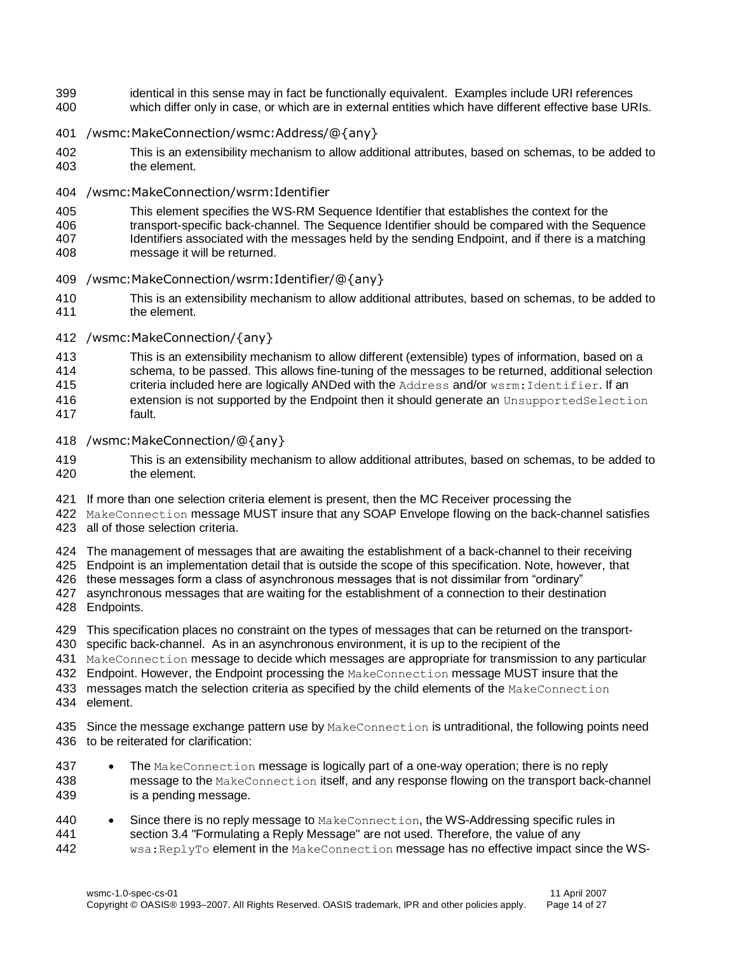- identical in this sense may in fact be functionally equivalent. Examples include URI references
- which differ only in case, or which are in external entities which have different effective base URIs.
- /wsmc:MakeConnection/wsmc:Address/@{any}
- This is an extensibility mechanism to allow additional attributes, based on schemas, to be added to the element.
- /wsmc:MakeConnection/wsrm:Identifier
- This element specifies the WS-RM Sequence Identifier that establishes the context for the
- transport-specific back-channel. The Sequence Identifier should be compared with the Sequence
- Identifiers associated with the messages held by the sending Endpoint, and if there is a matching
- message it will be returned.
- /wsmc:MakeConnection/wsrm:Identifier/@{any}
- This is an extensibility mechanism to allow additional attributes, based on schemas, to be added to the element.
- /wsmc:MakeConnection/{any}
- 413 This is an extensibility mechanism to allow different (extensible) types of information, based on a<br>414 schema to be passed. This allows fine-tuning of the messages to be returned additional selection
- schema, to be passed. This allows fine-tuning of the messages to be returned, additional selection
- 415 criteria included here are logically ANDed with the Address and/or wsrm: Identifier. If an
- extension is not supported by the Endpoint then it should generate an UnsupportedSelection
- fault.
- /wsmc:MakeConnection/@{any}
- This is an extensibility mechanism to allow additional attributes, based on schemas, to be added to the element.
- If more than one selection criteria element is present, then the MC Receiver processing the
- MakeConnection message MUST insure that any SOAP Envelope flowing on the back-channel satisfies
- all of those selection criteria.
- The management of messages that are awaiting the establishment of a back-channel to their receiving
- Endpoint is an implementation detail that is outside the scope of this specification. Note, however, that
- these messages form a class of asynchronous messages that is not dissimilar from "ordinary"
- asynchronous messages that are waiting for the establishment of a connection to their destination
- Endpoints.
- This specification places no constraint on the types of messages that can be returned on the transport-
- specific back-channel. As in an asynchronous environment, it is up to the recipient of the
- MakeConnection message to decide which messages are appropriate for transmission to any particular
- 432 Endpoint. However, the Endpoint processing the MakeConnection message MUST insure that the
- 433 messages match the selection criteria as specified by the child elements of the MakeConnection
- element.
- 435 Since the message exchange pattern use by MakeConnection is untraditional, the following points need to be reiterated for clarification:
- 437 The MakeConnection message is logically part of a one-way operation; there is no reply message to the MakeConnection itself, and any response flowing on the transport back-channel is a pending message.
- 440 Since there is no reply message to MakeConnection, the WS-Addressing specific rules in section 3.4 "Formulating a Reply Message" are not used. Therefore, the value of any section 3.4 "Formulating a Reply Message" are not used. Therefore, the value of any wsa:ReplyTo element in the MakeConnection message has no effective impact since the WS-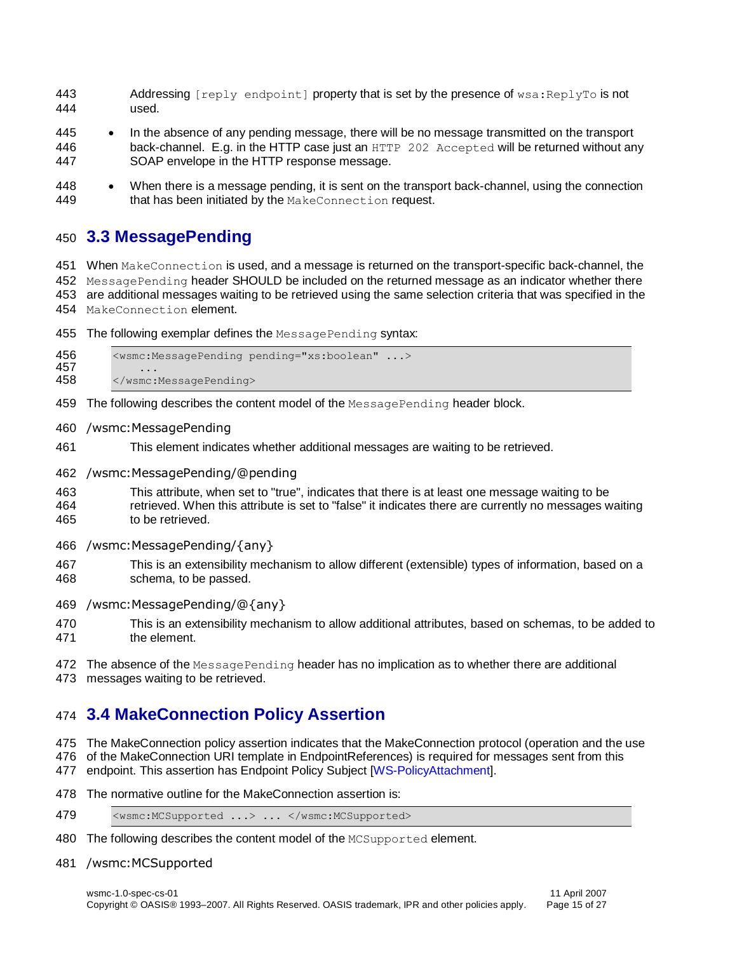- 443 Addressing [reply endpoint] property that is set by the presence of wsa: ReplyTo is not used.
- In the absence of any pending message, there will be no message transmitted on the transport 446 back-channel. E.g. in the HTTP case just an HTTP 202 Accepted will be returned without any SOAP envelope in the HTTP response message.
- When there is a message pending, it is sent on the transport back-channel, using the connection 449 that has been initiated by the MakeConnection request.

#### <span id="page-14-0"></span>**3.3 MessagePending**

 When MakeConnection is used, and a message is returned on the transport-specific back-channel, the 452 MessagePending header SHOULD be included on the returned message as an indicator whether there are additional messages waiting to be retrieved using the same selection criteria that was specified in the MakeConnection element.

- 455 The following exemplar defines the MessagePending syntax:
- <wsmc:MessagePending pending="xs:boolean" ...> 458 </wsmc:MessagePending>
- 459 The following describes the content model of the MessagePending header block.
- /wsmc:MessagePending
- This element indicates whether additional messages are waiting to be retrieved.
- /wsmc:MessagePending/@pending
- This attribute, when set to "true", indicates that there is at least one message waiting to be
- retrieved. When this attribute is set to "false" it indicates there are currently no messages waiting to be retrieved.
- /wsmc:MessagePending/{any}
- This is an extensibility mechanism to allow different (extensible) types of information, based on a schema, to be passed.
- /wsmc:MessagePending/@{any}
- This is an extensibility mechanism to allow additional attributes, based on schemas, to be added to the element.
- 472 The absence of the MessagePending header has no implication as to whether there are additional
- messages waiting to be retrieved.

### <span id="page-14-1"></span>**3.4 MakeConnection Policy Assertion**

- The MakeConnection policy assertion indicates that the MakeConnection protocol (operation and the use
- of the MakeConnection URI template in EndpointReferences) is required for messages sent from this
- endpoint. This assertion has Endpoint Policy Subject [\[WS-PolicyAttachment\]](#page-6-4).
- The normative outline for the MakeConnection assertion is:
- 479 <wsmc:MCSupported ...> ... </wsmc:MCSupported>
- 480 The following describes the content model of the MCSupported element.
- /wsmc:MCSupported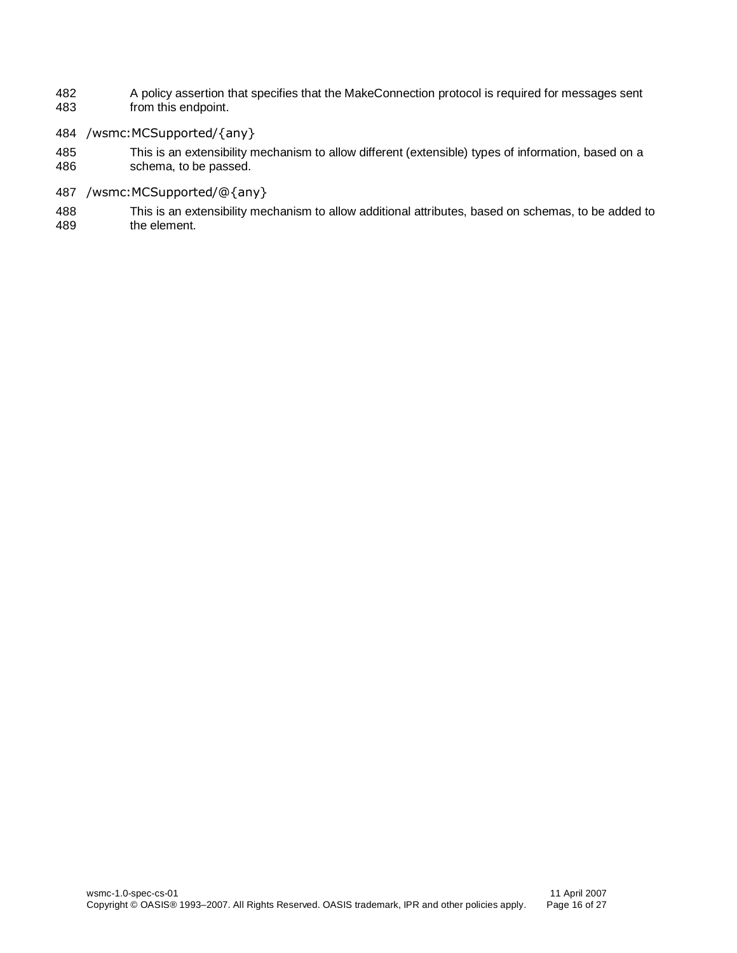- 482 A policy assertion that specifies that the MakeConnection protocol is required for messages sent<br>483 from this endpoint. from this endpoint.
- 484 /wsmc:MCSupported/{any}
- 485 This is an extensibility mechanism to allow different (extensible) types of information, based on a schema, to be passed.
- 487 /wsmc:MCSupported/@{any}
- 488 This is an extensibility mechanism to allow additional attributes, based on schemas, to be added to the element.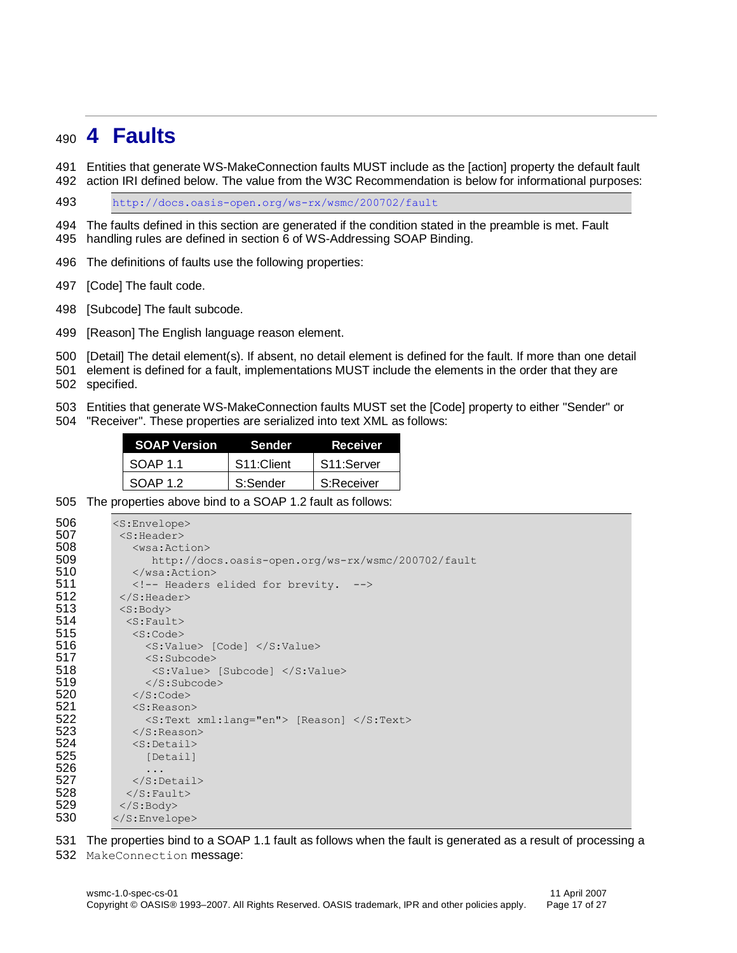## <span id="page-16-0"></span>**4 Faults**

- Entities that generate WS-MakeConnection faults MUST include as the [action] property the default fault
- action IRI defined below. The value from the W3C Recommendation is below for informational purposes:

<http://docs.oasis-open.org/ws-rx/wsmc/200702/fault>

 The faults defined in this section are generated if the condition stated in the preamble is met. Fault handling rules are defined in section 6 of WS-Addressing SOAP Binding.

The definitions of faults use the following properties:

[Code] The fault code.

[Subcode] The fault subcode.

[Reason] The English language reason element.

[Detail] The detail element(s). If absent, no detail element is defined for the fault. If more than one detail

 element is defined for a fault, implementations MUST include the elements in the order that they are specified.

Entities that generate WS-MakeConnection faults MUST set the [Code] property to either "Sender" or

"Receiver". These properties are serialized into text XML as follows:

| <b>SOAP Version</b> | <b>Sender</b>           | <b>Receiver</b>         |
|---------------------|-------------------------|-------------------------|
| SOAP 11             | S <sub>11</sub> :Client | S <sub>11</sub> :Server |
| SOAP 1.2            | S:Sender                | S:Receiver              |

The properties above bind to a SOAP 1.2 fault as follows:

| 506 | $<$ S:Envelope $>$                                 |
|-----|----------------------------------------------------|
| 507 | $<$ S: Header>                                     |
| 508 | $<$ wsa: Action $>$                                |
| 509 | http://docs.oasis-open.org/ws-rx/wsmc/200702/fault |
| 510 | $\langle$ /wsa:Action>                             |
| 511 | Headers elided for brevity.                        |
| 512 | $\langle$ /S: Header>                              |
| 513 | $<$ S: Body>                                       |
| 514 | $<$ S: Fault>                                      |
| 515 | $<$ S:Code $>$                                     |
| 516 | $\langle$ S:Value> [Code] $\langle$ /S:Value>      |
| 517 | $\langle S:Subcode\rangle$                         |
| 518 | <s:value> [Subcode] </s:value>                     |
| 519 | $\langle$ /S: Subcode>                             |
| 520 | $\langle$ /S:Code>                                 |
| 521 | $<$ S: Reason $>$                                  |
| 522 | <s:text xml:lang="en"> [Reason] </s:text>          |
| 523 | $\langle$ /S: Reason>                              |
| 524 | $<$ S:Detail>                                      |
| 525 | [Detail]                                           |
| 526 | .                                                  |
| 527 | $\langle$ S:Detail>                                |
| 528 | $\langle$ S: Fault>                                |
| 529 | $\langle$ /S:Body>                                 |
| 530 |                                                    |

The properties bind to a SOAP 1.1 fault as follows when the fault is generated as a result of processing a

MakeConnection message: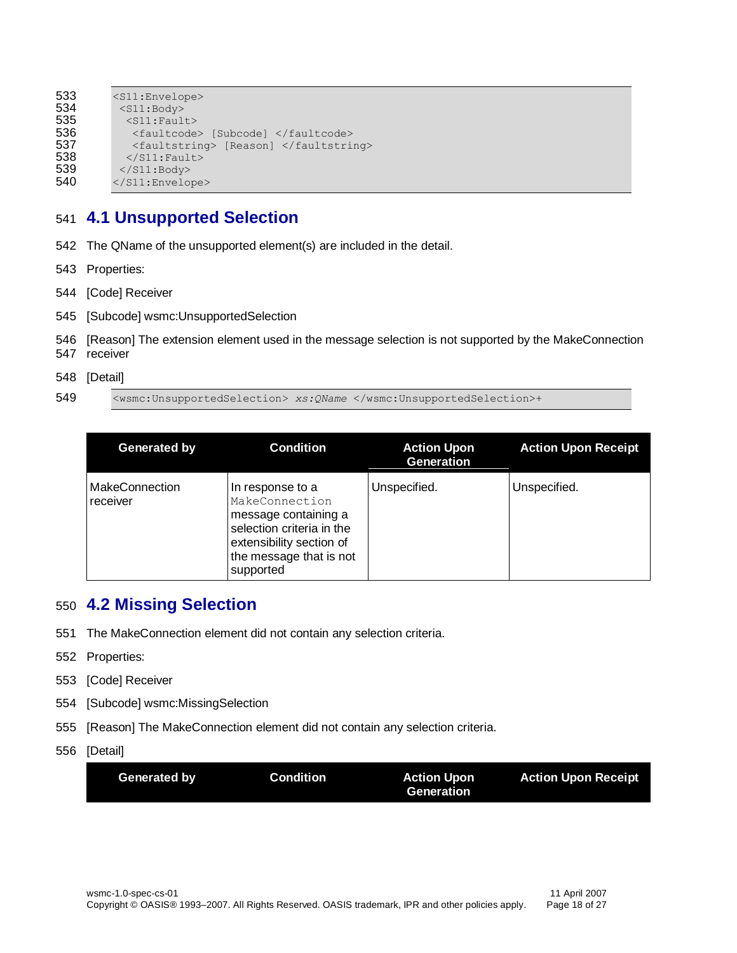| 533 | $<$ S $11$ : Envelope>                |
|-----|---------------------------------------|
| 534 | $<$ S $11$ : Body>                    |
| 535 | $<$ S11: Fault>                       |
| 536 | <faultcode> [Subcode] </faultcode>    |
| 537 | <faultstring> [Reason] </faultstring> |
| 538 | $\langle$ /S11: Fault>                |
| 539 | $\langle$ /S11:Body>                  |
| 540 | $\langle$ /S11:Envelope>              |
|     |                                       |

### <span id="page-17-0"></span>541 **4.1 Unsupported Selection**

- 542 The QName of the unsupported element(s) are included in the detail.
- 543 Properties:
- 544 [Code] Receiver
- 545 [Subcode] wsmc:UnsupportedSelection
- 546 [Reason] The extension element used in the message selection is not supported by the MakeConnection 547 receiver
- 548 [Detail]

549 <wsmc:UnsupportedSelection> *xs:QName* </wsmc:UnsupportedSelection>+

| Generated by                      | <b>Condition</b>                                                                                                                                            | <b>Action Upon</b><br><b>Generation</b> | <b>Action Upon Receipt</b> |
|-----------------------------------|-------------------------------------------------------------------------------------------------------------------------------------------------------------|-----------------------------------------|----------------------------|
| <b>MakeConnection</b><br>receiver | In response to a<br>MakeConnection<br>message containing a<br>selection criteria in the<br>extensibility section of<br>the message that is not<br>supported | Unspecified.                            | Unspecified.               |

#### <span id="page-17-1"></span>550 **4.2 Missing Selection**

- 551 The MakeConnection element did not contain any selection criteria.
- 552 Properties:
- 553 [Code] Receiver
- 554 [Subcode] wsmc:MissingSelection
- 555 [Reason] The MakeConnection element did not contain any selection criteria.
- 556 [Detail]

| Generation |
|------------|
|------------|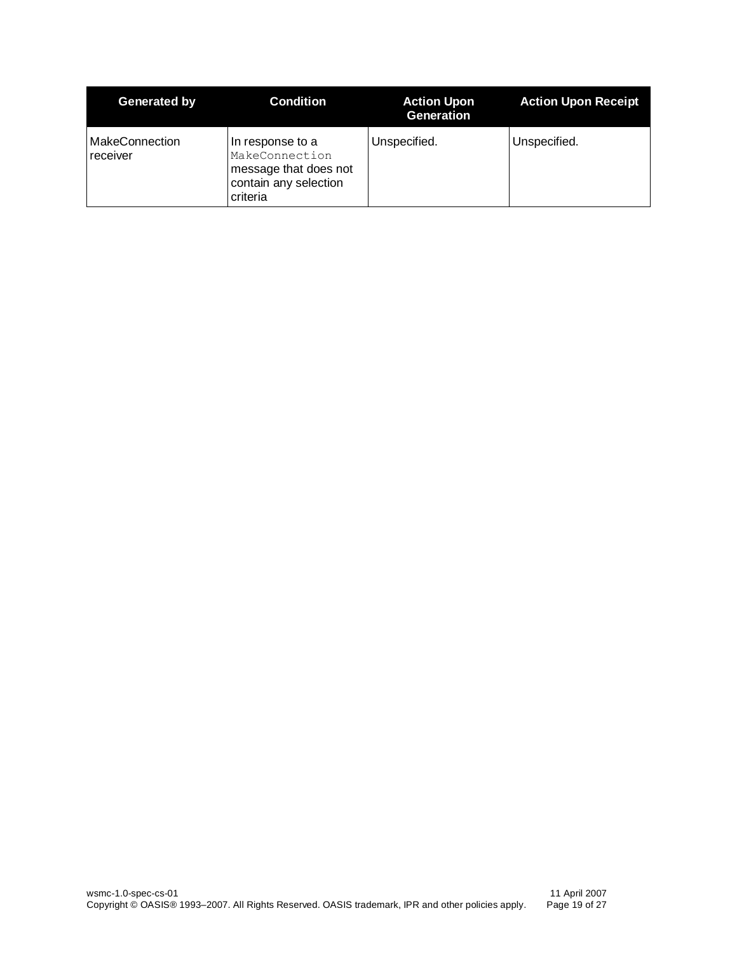| Generated by                      | <b>Condition</b>                                                                                 | <b>Action Upon</b><br><b>Generation</b> | <b>Action Upon Receipt</b> |
|-----------------------------------|--------------------------------------------------------------------------------------------------|-----------------------------------------|----------------------------|
| <b>MakeConnection</b><br>receiver | In response to a<br>MakeConnection<br>message that does not<br>contain any selection<br>criteria | Unspecified.                            | Unspecified.               |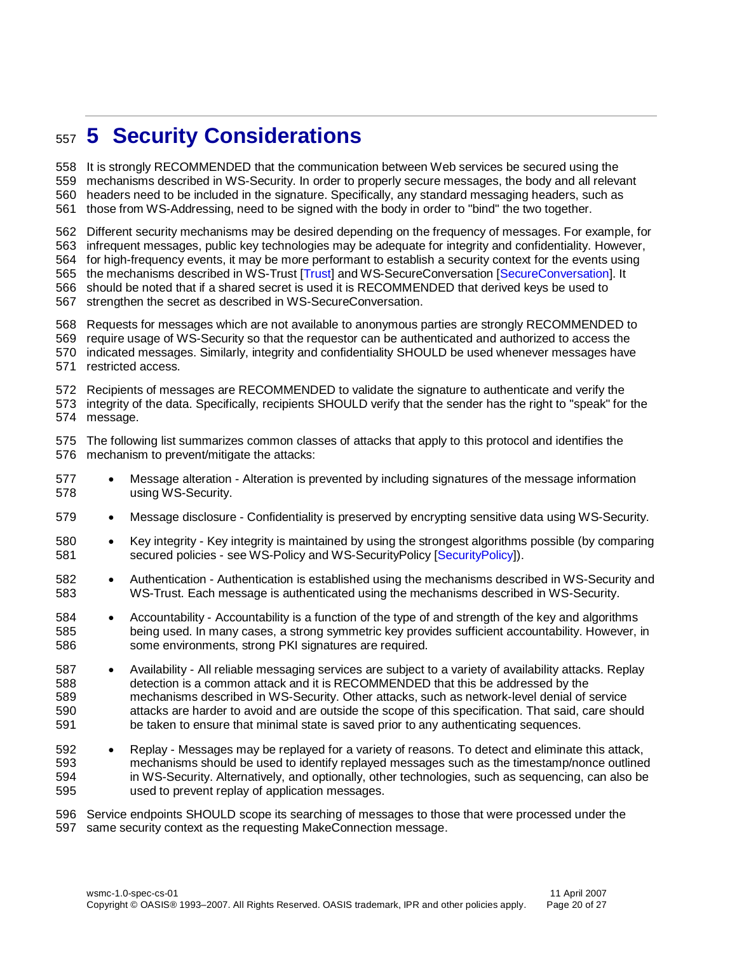## <span id="page-19-0"></span>**5 Security Considerations**

 It is strongly RECOMMENDED that the communication between Web services be secured using the mechanisms described in WS-Security. In order to properly secure messages, the body and all relevant headers need to be included in the signature. Specifically, any standard messaging headers, such as those from WS-Addressing, need to be signed with the body in order to "bind" the two together.

Different security mechanisms may be desired depending on the frequency of messages. For example, for

infrequent messages, public key technologies may be adequate for integrity and confidentiality. However,

for high-frequency events, it may be more performant to establish a security context for the events using

the mechanisms described in WS-Trust [\[Trust\]](#page-6-5) and WS-SecureConversation [\[SecureConversation\]](#page-6-6). It

should be noted that if a shared secret is used it is RECOMMENDED that derived keys be used to

- strengthen the secret as described in WS-SecureConversation.
- Requests for messages which are not available to anonymous parties are strongly RECOMMENDED to
- require usage of WS-Security so that the requestor can be authenticated and authorized to access the
- indicated messages. Similarly, integrity and confidentiality SHOULD be used whenever messages have restricted access.
- Recipients of messages are RECOMMENDED to validate the signature to authenticate and verify the

 integrity of the data. Specifically, recipients SHOULD verify that the sender has the right to "speak" for the message.

 The following list summarizes common classes of attacks that apply to this protocol and identifies the mechanism to prevent/mitigate the attacks:

- Message alteration Alteration is prevented by including signatures of the message information using WS-Security.
- Message disclosure Confidentiality is preserved by encrypting sensitive data using WS-Security.
- 580 Key integrity Key integrity is maintained by using the strongest algorithms possible (by comparing secured policies - see WS-Policy and WS-SecurityPolicy [\[SecurityPolicy\]](#page-6-7)).
- Authentication Authentication is established using the mechanisms described in WS-Security and WS-Trust. Each message is authenticated using the mechanisms described in WS-Security.
- Accountability Accountability is a function of the type of and strength of the key and algorithms being used. In many cases, a strong symmetric key provides sufficient accountability. However, in some environments, strong PKI signatures are required.
- Availability All reliable messaging services are subject to a variety of availability attacks. Replay detection is a common attack and it is RECOMMENDED that this be addressed by the mechanisms described in WS-Security. Other attacks, such as network-level denial of service attacks are harder to avoid and are outside the scope of this specification. That said, care should be taken to ensure that minimal state is saved prior to any authenticating sequences.
- 592 Replay Messages may be replayed for a variety of reasons. To detect and eliminate this attack, mechanisms should be used to identify replayed messages such as the timestamp/nonce outlined in WS-Security. Alternatively, and optionally, other technologies, such as sequencing, can also be used to prevent replay of application messages.

 Service endpoints SHOULD scope its searching of messages to those that were processed under the same security context as the requesting MakeConnection message.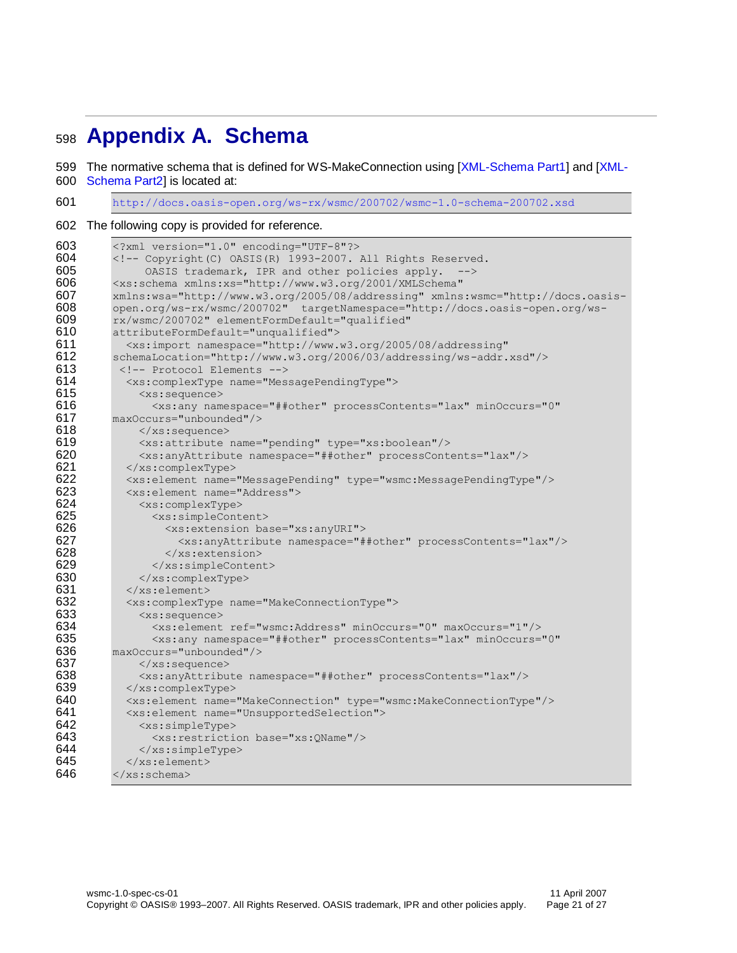## <span id="page-20-0"></span><sup>598</sup> **Appendix A. Schema**

599 The normative schema that is defined for WS-MakeConnection using [\[XML-Schema Part1\]](#page-5-10) and [\[XML-](#page-5-11)

600 [Schema Part2\]](#page-5-11) is located at:

601 <http://docs.oasis-open.org/ws-rx/wsmc/200702/wsmc-1.0-schema-200702.xsd>

602 The following copy is provided for reference.

```
603 <?xml version="1.0" encoding="UTF-8"?><br>604 <!-- Copyright (C) OASIS (R) 1993-2007.
604 \langle - Copyright(C) OASIS(R) 1993-2007. All Rights Reserved.<br>605 0ASIS trademark. IPR and other policies apply. -->
                   OASIS trademark, IPR and other policies apply. -->
606 <xs:schema xmlns:xs="http://www.w3.org/2001/XMLSchema" 
607 xmlns:wsa="http://www.w3.org/2005/08/addressing" xmlns:wsmc="http://docs.oasis-
608 open.org/ws-rx/wsmc/200702" targetNamespace="http://docs.oasis-open.org/ws-
609 rx/wsmc/200702" elementFormDefault="qualified" 
            attributeFormDefault="unqualified">
611 <xs:import namespace="http://www.w3.org/2005/08/addressing" 
612 schemaLocation="http://www.w3.org/2006/03/addressing/ws-addr.xsd"/><br>613 <1-- Protocol Elements -->
             613 <!-- Protocol Elements -->
614 <xs:complexType name="MessagePendingType">
615 <xs:sequence>
616 <xs:any namespace="##other" processContents="lax" minOccurs="0" 
617 maxOccurs="unbounded"/><br>618 </xs:sequence>
618 </xs:sequence><br>619 <xs:attribute
619 <xs:attribute name="pending" type="xs:boolean"/><br>620 <xs:anvAttribute namespace="##other" processCont
                 620 <xs:anyAttribute namespace="##other" processContents="lax"/>
621 </xs:complexType>
622 <xs:element name="MessagePending" type="wsmc:MessagePendingType"/>
623 <xs:element name="Address">
624 <xs:complexType><br>625 <xs:simpleCont
625 <xs:simpleContent><br>626 <xs:extension ba
626 \leqxs:extension base="xs:anyURI"><br>627 \leqxs:anyAttribute namespace="#
                          627 <xs:anyAttribute namespace="##other" processContents="lax"/>
628 </xs:extension>
629 \langle x \rangle \langle x \rangle \langle x \rangle \langle x \rangle \langle x \rangle \langle x \rangle \langle x \rangle \langle x \rangle \langle x \rangle \langle x \rangle \langle x \rangle \langle x \rangle \langle x \rangle \langle x \rangle \langle x \rangle \langle x \rangle \langle x \rangle \langle x \rangle \langle x \rangle \langle x \rangle \langle x \rangle \langle x \rangle \langle x \rangle \langle x \rangle \langle x \rangle \langle x \rangle \langle x \rangle 630 </xs:complexType>
631 </xs:element>
632 <xs:complexType name="MakeConnectionType"><br>633 <xs:sequence>
                 633 <xs:sequence>
634 <xs:element ref="wsmc:Address" minOccurs="0" maxOccurs="1"/>
                    635 <xs:any namespace="##other" processContents="lax" minOccurs="0" 
636 maxOccurs="unbounded"/>
637 \langle x\text{ s}: \text{sequence}\rangle638 <xs:anyAttribute namespace="##other" processContents="lax"/>
639 \langle x \text{ s:complexType} \rangle<br>640 \langle x \text{ s:element name} \rangle640 <xs:element name="MakeConnection" type="wsmc:MakeConnectionType"/>
641 <xs:element name="UnsupportedSelection">
642 <xs:simpleType><br>643 <xs:restriction
                    643 <xs:restriction base="xs:QName"/>
644 \langle/xs:simpleType><br>645 \langle/xs:element>
               645 </xs:element>
646 \langle /xs:schema>
```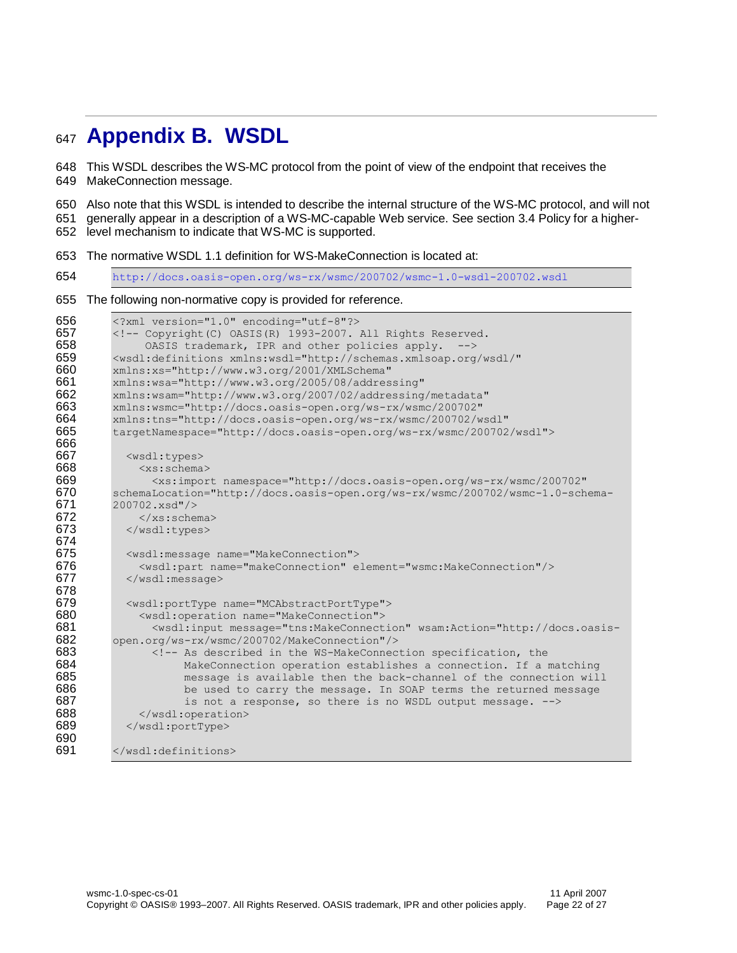## <span id="page-21-0"></span>**Appendix B. WSDL**

 This WSDL describes the WS-MC protocol from the point of view of the endpoint that receives the MakeConnection message.

Also note that this WSDL is intended to describe the internal structure of the WS-MC protocol, and will not

generally appear in a description of a WS-MC-capable Web service. See section [3.4](#page-14-1) Policy for a higher-

level mechanism to indicate that WS-MC is supported.

The normative WSDL 1.1 definition for WS-MakeConnection is located at:

<http://docs.oasis-open.org/ws-rx/wsmc/200702/wsmc-1.0-wsdl-200702.wsdl>

#### The following non-normative copy is provided for reference.

```
656 <?xml version="1.0" encoding="utf-8"?>
657 \langle - Copyright(C) OASIS(R) 1993-2007. All Rights Reserved.<br>658 0ASIS trademark, IPR and other policies apply. -->
                OASIS trademark, IPR and other policies apply. -->
659 <wsdl:definitions xmlns:wsdl="http://schemas.xmlsoap.org/wsdl/"<br>660 xmlns:xs="http://www.w3.org/2001/XMLSchema"
          660 xmlns:xs="http://www.w3.org/2001/XMLSchema" 
661 xmlns:wsa="http://www.w3.org/2005/08/addressing" 
          662 xmlns:wsam="http://www.w3.org/2007/02/addressing/metadata" 
663 xmlns:wsmc="http://docs.oasis-open.org/ws-rx/wsmc/200702" 
664 xmlns:tns="http://docs.oasis-open.org/ws-rx/wsmc/200702/wsdl" 
          665 targetNamespace="http://docs.oasis-open.org/ws-rx/wsmc/200702/wsdl">
666<br>667
667 <wsdl:types>
               <xs:schema>
669 <xs:import namespace="http://docs.oasis-open.org/ws-rx/wsmc/200702" 
          670 schemaLocation="http://docs.oasis-open.org/ws-rx/wsmc/200702/wsmc-1.0-schema-
671 200702.xsd"/>
672 \langle x \text{ s:} \text{scheme} \rangle673 </wsdl:types>
674<br>675
            675 <wsdl:message name="MakeConnection">
676 <wsdl:part name="makeConnection" element="wsmc:MakeConnection"/><br>677 </wsdl:message>
            677 </wsdl:message>
678
679 <wsdl:portType name="MCAbstractPortType">
680 <wsdl:operation name="MakeConnection">
                 681 <wsdl:input message="tns:MakeConnection" wsam:Action="http://docs.oasis-
682 open.org/ws-rx/wsmc/200702/MakeConnection"/>
                 683 <!-- As described in the WS-MakeConnection specification, the
684 MakeConnection operation establishes a connection. If a matching<br>685 message is available then the back-channel of the connection wil
                      message is available then the back-channel of the connection will
686 be used to carry the message. In SOAP terms the returned message 687 \overline{687} is not a response, so there is no WSDL output message. -->
687 is not a response, so there is no WSDL output message. \leftarrow 588 <br>688 <br>Same station>
               688 </wsdl:operation>
689 </wsdl:portType>
690
691 </wsdl:definitions>
```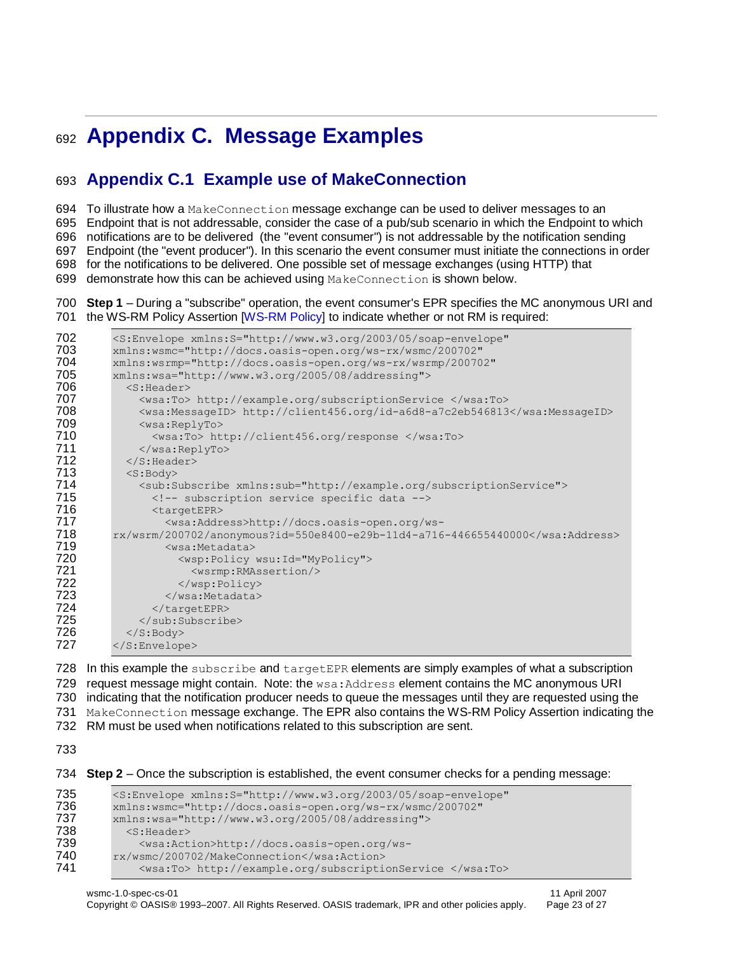## <span id="page-22-0"></span><sup>692</sup> **Appendix C. Message Examples**

## <span id="page-22-1"></span>693 **Appendix C.1 Example use of MakeConnection**

694 To illustrate how a MakeConnection message exchange can be used to deliver messages to an

695 Endpoint that is not addressable, consider the case of a pub/sub scenario in which the Endpoint to which

696 notifications are to be delivered (the "event consumer") is not addressable by the notification sending

697 Endpoint (the "event producer"). In this scenario the event consumer must initiate the connections in order

698 for the notifications to be delivered. One possible set of message exchanges (using HTTP) that

699 demonstrate how this can be achieved using MakeConnection is shown below.

#### 700 **Step 1** – During a "subscribe" operation, the event consumer's EPR specifies the MC anonymous URI and 701 the WS-RM Policy Assertion [\[WS-RM Policy\]](#page-5-14) to indicate whether or not RM is required:

```
702 <S:Envelope xmlns:S="http://www.w3.org/2003/05/soap-envelope" 
         703 xmlns:wsmc="http://docs.oasis-open.org/ws-rx/wsmc/200702" 
704 xmlns:wsrmp="http://docs.oasis-open.org/ws-rx/wsrmp/200702"
705 xmlns:wsa="http://www.w3.org/2005/08/addressing">
           <S:Header>
707 <wsa:To> http://example.org/subscriptionService </wsa:To><br>708 <wsa:MessageID> http://client456.org/id-a6d8-a7c2eb546813
708 <wsa:MessageID> http://client456.org/id-a6d8-a7c2eb546813</wsa:MessageID>
709 <wsa:ReplyTo>
710 <wsa:To> http://client456.org/response </wsa:To>
             711 </wsa:ReplyTo>
712 \langle /S: Header>
713 <s:Body><br>714 <sub:S
             714 <sub:Subscribe xmlns:sub="http://example.org/subscriptionService">
715 <!-- subscription service specific data --><br>716 <targetEPR>
716 <targetEPR>
717 <wsa:Address>http://docs.oasis-open.org/ws-
         718 rx/wsrm/200702/anonymous?id=550e8400-e29b-11d4-a716-446655440000</wsa:Address>
719 <wsa:Metadata>
720 \langle wsp:Policy\ wsu:Id="MyPolicy" \rangle721 <wsrmp:RMAssertion/><br>722 </wsp:Policy>
722 </wsp:Policy><br>723 </wsa:Metadata>
723 </wsa:Metadata><br>724 </targetEPR>
724 </targetEPR><br>725 </sub:Subscrib
             \langle/sub:Subscribe>
726 \langle /S:Body>
727 </S:Envelope>
```
728 In this example the subscribe and targetEPR elements are simply examples of what a subscription 729 request message might contain. Note: the wsa: Address element contains the MC anonymous URI 730 indicating that the notification producer needs to queue the messages until they are requested using the 731 MakeConnection message exchange. The EPR also contains the WS-RM Policy Assertion indicating the 732 RM must be used when notifications related to this subscription are sent.

733

734 **Step 2** – Once the subscription is established, the event consumer checks for a pending message:

```
735 <S:Envelope xmlns:S="http://www.w3.org/2003/05/soap-envelope"<br>736 xmlns:wsmc="http://docs.oasis-open.org/ws-rx/wsmc/200702"
             736 xmlns:wsmc="http://docs.oasis-open.org/ws-rx/wsmc/200702" 
737 xmlns:wsa="http://www.w3.org/2005/08/addressing"><br>738 < S:Header>
                <S:Header>
739 <wsa:Action>http://docs.oasis-open.org/ws-<br>740 rx/wsmc/200702/MakeConnection</wsa:Action>
740 rx/wsmc/200702/MakeConnection</wsa:Action><br>741 <wsa:To> http://example.org/subscripti
                  741 <wsa:To> http://example.org/subscriptionService </wsa:To>
```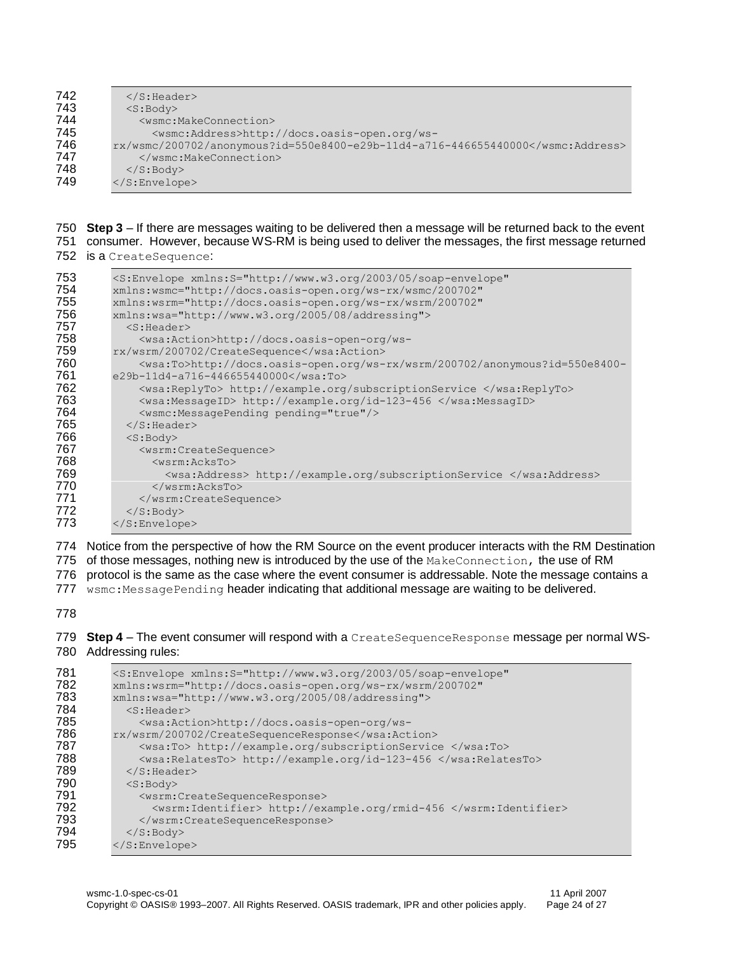| 742 | $\langle$ S: Header>                                                |
|-----|---------------------------------------------------------------------|
| 743 | $<$ S:Body>                                                         |
| 744 | <wsmc:makeconnection></wsmc:makeconnection>                         |
| 745 | <wsmc:address>http://docs.oasis-open.org/ws-</wsmc:address>         |
| 746 | $rx/wsmc/200702/annopymous?id=550e8400-e29b-11d4-a716-446655440000$ |
| 747 |                                                                     |
| 748 | $\langle$ /S:Body>                                                  |
| 749 | $\langle$ /S:Envelope>                                              |
|     |                                                                     |

 **Step 3** – If there are messages waiting to be delivered then a message will be returned back to the event consumer. However, because WS-RM is being used to deliver the messages, the first message returned

is a CreateSequence:

| 753 | <s:envelope <="" th="" xmlns:s="http://www.w3.org/2003/05/soap-envelope"></s:envelope> |
|-----|----------------------------------------------------------------------------------------|
| 754 | xmlns:wsmc="http://docs.oasis-open.org/ws-rx/wsmc/200702"                              |
| 755 | xmlns:wsrm="http://docs.oasis-open.org/ws-rx/wsrm/200702"                              |
| 756 | xmlns:wsa="http://www.w3.org/2005/08/addressing">                                      |
| 757 | $<$ S:Header>                                                                          |
| 758 | <wsa:action>http://docs.oasis-open-org/ws-</wsa:action>                                |
| 759 | rx/wsrm/200702/CreateSequence                                                          |
| 760 | <wsa:to>http://docs.oasis-open.org/ws-rx/wsrm/200702/anonymous?id=550e8400-</wsa:to>   |
| 761 | $e29b-11d4-a716-446655440000<$ /wsa:To>                                                |
| 762 | <wsa:replyto> http://example.org/subscriptionService </wsa:replyto>                    |
| 763 | <wsa:messageid> http://example.org/id-123-456 </wsa:messageid>                         |
| 764 | <wsmc:messagepending pending="true"></wsmc:messagepending>                             |
| 765 | $\langle$ /S:Header>                                                                   |
| 766 | $<$ S:Body>                                                                            |
| 767 | <wsrm:createsequence></wsrm:createsequence>                                            |
| 768 | $<$ wsrm: $AcksTo$                                                                     |
| 769 | <wsa:address> http://example.org/subscriptionService </wsa:address>                    |
| 770 | $\langle$ /wsrm:AcksTo>                                                                |
| 771 |                                                                                        |
| 772 | $\langle$ S: Body>                                                                     |
| 773 | $\langle$ /S:Envelope>                                                                 |

 Notice from the perspective of how the RM Source on the event producer interacts with the RM Destination 775 of those messages, nothing new is introduced by the use of the MakeConnection, the use of RM protocol is the same as the case where the event consumer is addressable. Note the message contains a 777 wsmc:MessagePending header indicating that additional message are waiting to be delivered.

 **Step 4** – The event consumer will respond with a CreateSequenceResponse message per normal WS-Addressing rules:

| 781 | <s:envelope <="" th="" xmlns:s="http://www.w3.org/2003/05/soap-envelope"></s:envelope> |
|-----|----------------------------------------------------------------------------------------|
| 782 | xmlns:wsrm="http://docs.oasis-open.org/ws-rx/wsrm/200702"                              |
| 783 | xmlns:wsa="http://www.w3.org/2005/08/addressing">                                      |
| 784 | $<$ S:Header>                                                                          |
| 785 | <wsa:action>http://docs.oasis-open-org/ws-</wsa:action>                                |
| 786 | rx/wsrm/200702/CreateSequenceResponse                                                  |
| 787 | <wsa:to> http://example.org/subscriptionService </wsa:to>                              |
| 788 | <wsa:relatesto> http://example.org/id-123-456 </wsa:relatesto>                         |
| 789 | $\langle$ /S:Header>                                                                   |
| 790 | $<$ S:Body>                                                                            |
| 791 | <wsrm:createsequenceresponse></wsrm:createsequenceresponse>                            |
| 792 | <wsrm:identifier> http://example.org/rmid-456 </wsrm:identifier>                       |
| 793 |                                                                                        |
| 794 | $\langle$ S: Body>                                                                     |
| 795 | $\langle$ /S:Envelope>                                                                 |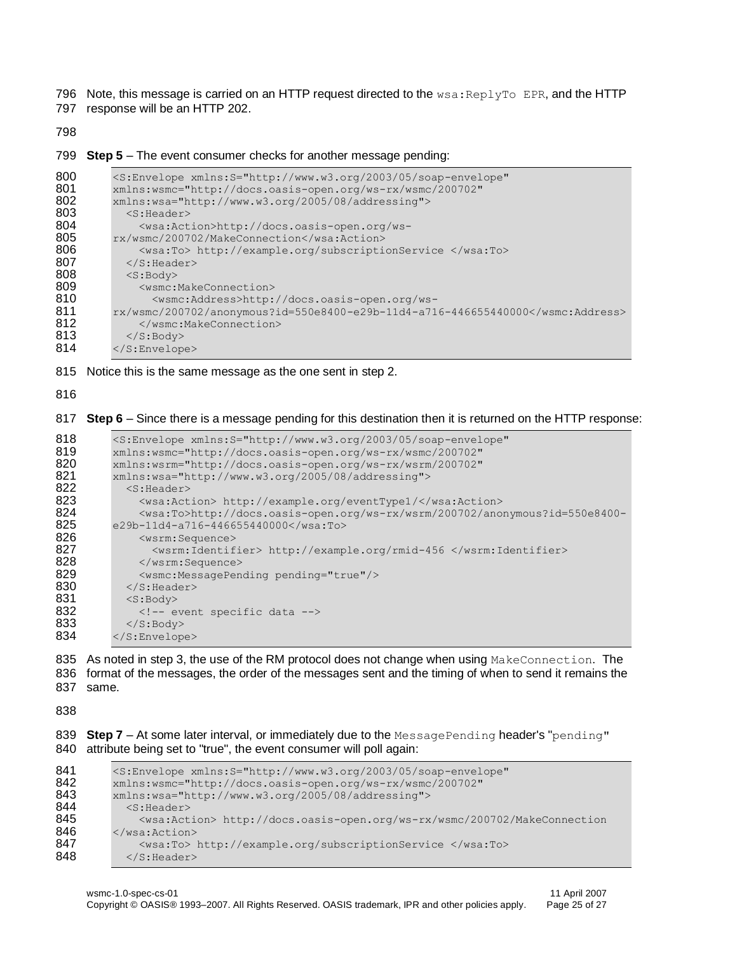796 Note, this message is carried on an HTTP request directed to the  $wsa:ReplyTo EPR$ , and the HTTP

797 response will be an HTTP 202.

798

799 **Step 5** – The event consumer checks for another message pending:

```
800 <S:Envelope xmlns:S="http://www.w3.org/2003/05/soap-envelope"<br>801 xmlns:wsmc="http://docs.oasis-open.org/ws-rx/wsmc/200702"
801 xmlns:wsmc="http://docs.oasis-open.org/ws-rx/wsmc/200702"<br>802 xmlns:wsa="http://www.w3.org/2005/08/addressing">
802 xmlns:wsa="http://www.w3.org/2005/08/addressing"><br>803 < S:Header>
803 <S:Header>
804 <wsa:Action>http://docs.oasis-open.org/ws-<br>805 rx/wsmc/200702/MakeConnection</wsa:Action>
805 rx/wsmc/200702/MakeConnection</wsa:Action><br>806 <wsa:To> http://example.org/subscripti
                 806 <wsa:To> http://example.org/subscriptionService </wsa:To>
807 \langle/S:Header><br>808 \langleS:Body>
808 <S:Body>
809 <wsmc:MakeConnection>
                    810 <wsmc:Address>http://docs.oasis-open.org/ws-
811 rx/wsmc/200702/anonymous?id=550e8400-e29b-11d4-a716-446655440000</wsmc:Address><br>812 </wsmc:MakeConnection>
812 </wsmc:MakeConnection><br>813 </s:Body>
               </S:Body>
814 </S:Envelope>
```
815 Notice this is the same message as the one sent in step 2.

816

817 **Step 6** – Since there is a message pending for this destination then it is returned on the HTTP response:

```
818 <S:Envelope xmlns:S="http://www.w3.org/2003/05/soap-envelope"<br>819 xmlns:wsmc="http://docs.oasis-open.org/ws-rx/wsmc/200702"
819 xmlns:wsmc="http://docs.oasis-open.org/ws-rx/wsmc/200702"
          820 xmlns:wsrm="http://docs.oasis-open.org/ws-rx/wsrm/200702" 
821 xmlns:wsa="http://www.w3.org/2005/08/addressing"><br>822 < S:Header>
822 < S: Header><br>823 < wsa: Act
823 <wsa:Action> http://example.org/eventType1/</wsa:Action>824 <wsa:To>http://docs.oasis-open.org/ws-rx/wsrm/200702/ano
824 <wsa:To>http://docs.oasis-open.org/ws-rx/wsrm/200702/anonymous?id=550e8400-
          e29b-11d4-a716-446655440000</wsa:To>
826 <wsrm:Sequence>
827 <wsrm:Identifier> http://example.org/rmid-456 </wsrm:Identifier><br>828 </wsrm:Sequence>
               828 </wsrm:Sequence>
829 <wsmc:MessagePending pending="true"/>
830 \langle S: Header>
831 \langle S:Body\rangle832 \langle -- event specific data --><br>833 \langle/S:Bodv>
             \langle /S:Body>
834 </S:Envelope>
```
835 As noted in step 3, the use of the RM protocol does not change when using MakeConnection. The 836 format of the messages, the order of the messages sent and the timing of when to send it remains the 837 same.

838

839 **Step 7** – At some later interval, or immediately due to the MessagePending header's "pending" 840 attribute being set to "true", the event consumer will poll again:

```
841 <S:Envelope xmlns:S="http://www.w3.org/2003/05/soap-envelope"<br>842 xmlns:wsmc="http://docs.oasis-open.org/ws-rx/wsmc/200702"
842 xmlns:wsmc="http://docs.oasis-open.org/ws-rx/wsmc/200702"
843 xmlns:wsa="http://www.w3.org/2005/08/addressing"><br>844 < < S: Header>
844 <s:Header><br>845 <wsa:Act
                845 <wsa:Action> http://docs.oasis-open.org/ws-rx/wsmc/200702/MakeConnection
846 \le/wsa:Action><br>847 \leqwsa:To>
                847 <wsa:To> http://example.org/subscriptionService </wsa:To>
848 </S: Header>
```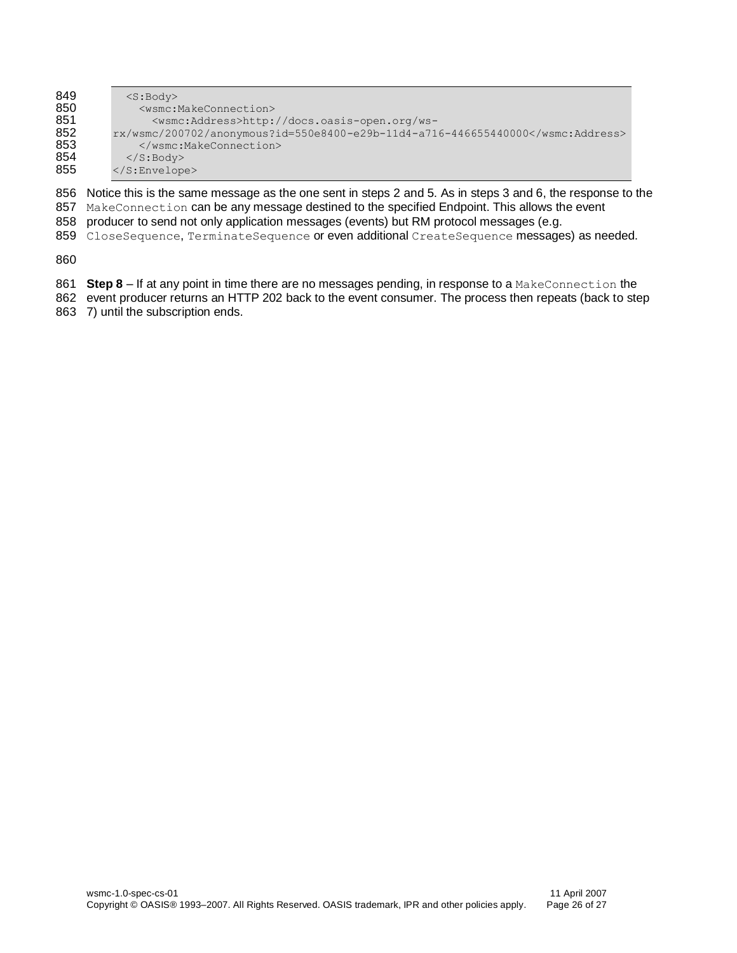| 849 | $<$ S:Body>                                                          |
|-----|----------------------------------------------------------------------|
| 850 | <wsmc:makeconnection></wsmc:makeconnection>                          |
| 851 | <wsmc:address>http://docs.oasis-open.org/ws-</wsmc:address>          |
| 852 | $rx/wsmc/200702/ano nowmous?id=550e8400-e29b-11d4-a716-446655440000$ |
| 853 |                                                                      |
| 854 | $\langle$ /S:Body>                                                   |
| 855 | $\langle$ /S:Envelope>                                               |
|     |                                                                      |

 Notice this is the same message as the one sent in steps 2 and 5. As in steps 3 and 6, the response to the 857 MakeConnection can be any message destined to the specified Endpoint. This allows the event

- producer to send not only application messages (events) but RM protocol messages (e.g.
- 859 CloseSequence, TerminateSequence or even additional CreateSequence messages) as needed.

- **Step 8** If at any point in time there are no messages pending, in response to a MakeConnection the
- event producer returns an HTTP 202 back to the event consumer. The process then repeats (back to step 7) until the subscription ends.